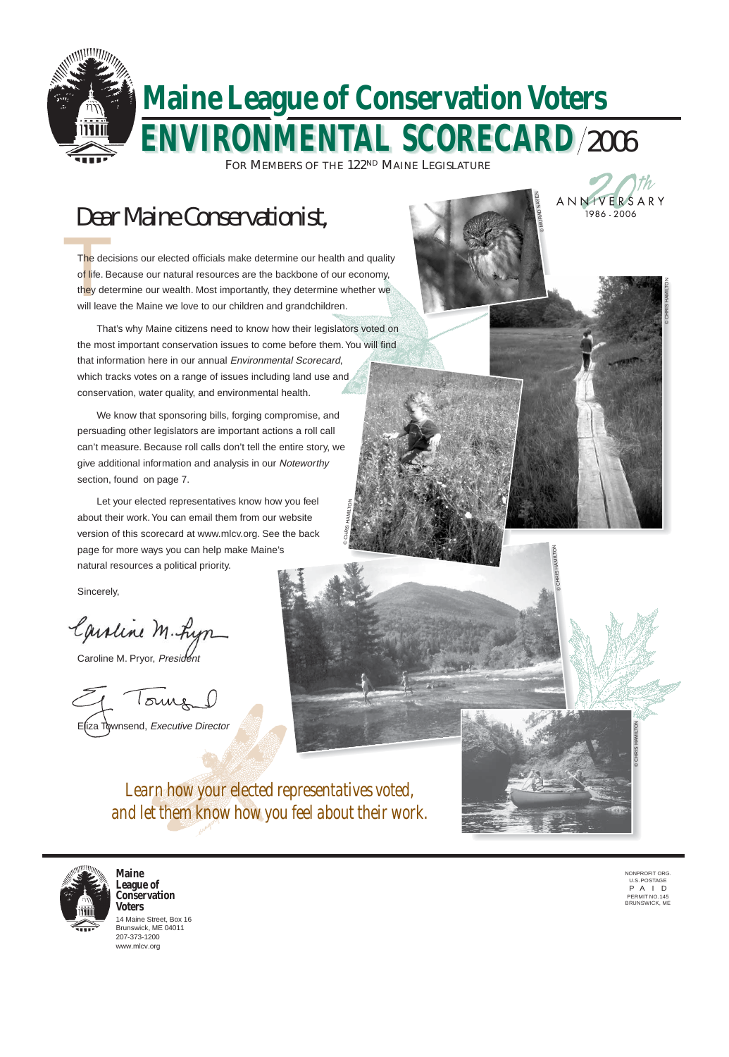

# **ENVIRONMENTAL SCORECARD ENVIRONMENTAL SCORECARD** 2006 **Maine League of Conservation Voters**

FOR MEMBERS OF THE 122ND MAINE LEGISLATURE

E(iza Townsend, Executive Director







# Dear Maine Conservationist,

The de The decisions our elected officials make determine our health and quality of life. Because our natural resources are the backbone of our economy, they determine our wealth. Most importantly, they determine whether we will leave the Maine we love to our children and grandchildren.

## *and let them know how you feel about their work.*



© CHRIS HAMILTON

© CHRIS HAMILTON

© CHRIS HAMILTON

© CHRIS HAMILTON

© MURAD SAŸEN

That's why Maine citizens need to know how their legislators voted on the most important conservation issues to come before them. You will find that information here in our annual Environmental Scorecard, which tracks votes on a range of issues including land use and conservation, water quality, and environmental health.

We know that sponsoring bills, forging compromise, and persuading other legislators are important actions a roll call can't measure. Because roll calls don't tell the entire story, we give additional information and analysis in our Noteworthy section, found on page 7.

Let your elected representatives know how you feel about their work. You can email them from our website version of this scorecard at www.mlcv.org. See the back page for more ways you can help make Maine's natural resources a political priority.

Sincerely,

Caroline M. Lyn

Caroline M. Pryor, President

Tours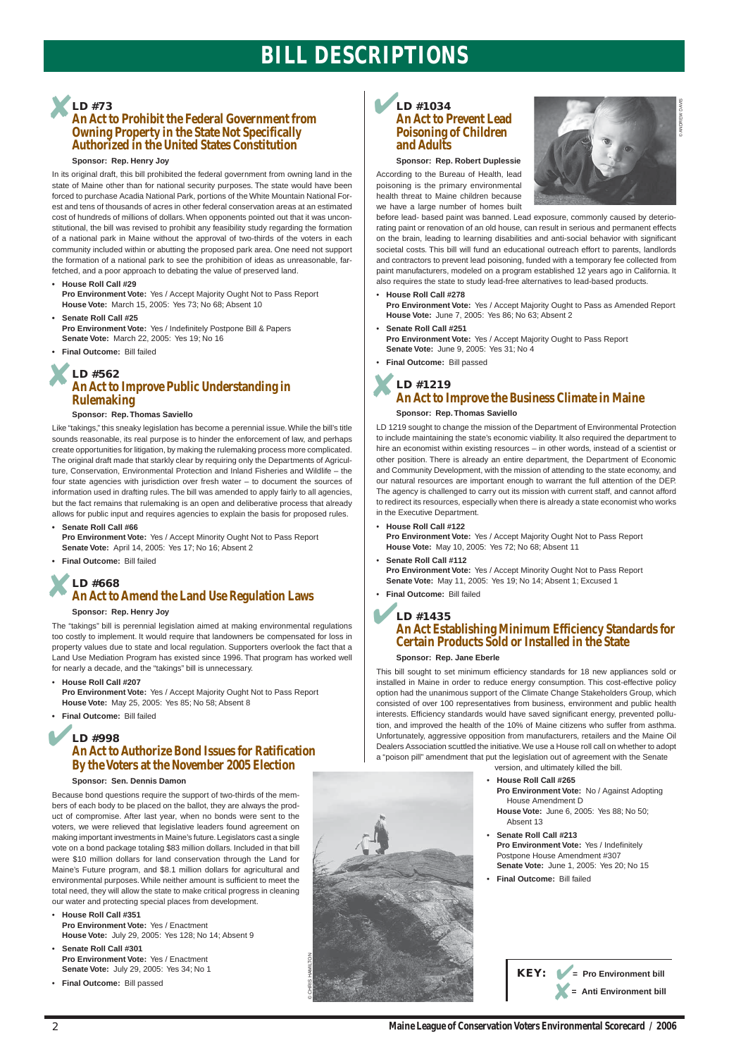## **BILL DESCRIPTIONS**

2

#### **Sponsor: Rep. Robert Duplessie**

According to the Bureau of Health, lead poisoning is the primary environmental health threat to Maine children because we have a large number of homes built



before lead- based paint was banned. Lead exposure, commonly caused by deteriorating paint or renovation of an old house, can result in serious and permanent effects on the brain, leading to learning disabilities and anti-social behavior with significant societal costs. This bill will fund an educational outreach effort to parents, landlords and contractors to prevent lead poisoning, funded with a temporary fee collected from paint manufacturers, modeled on a program established 12 years ago in California. It also requires the state to study lead-free alternatives to lead-based products.

• **House Roll Call #278 Pro Environment Vote:** Yes / Accept Majority Ought to Pass as Amended Report **House Vote:** June 7, 2005: Yes 86; No 63; Absent 2

- **Senate Roll Call #251 Pro Environment Vote:** Yes / Accept Majority Ought to Pass Report **Senate Vote:** June 9, 2005: Yes 31; No 4
- **Final Outcome:** Bill passed

## **LD #1219 An Act to Improve the Business Climate in Maine**

#### **Sponsor: Rep. Thomas Saviello**

LD 1219 sought to change the mission of the Department of Environmental Protection to include maintaining the state's economic viability. It also required the department to hire an economist within existing resources – in other words, instead of a scientist or other position. There is already an entire department, the Department of Economic and Community Development, with the mission of attending to the state economy, and our natural resources are important enough to warrant the full attention of the DEP. The agency is challenged to carry out its mission with current staff, and cannot afford to redirect its resources, especially when there is already a state economist who works in the Executive Department.

### **LD #1034 An Act to Prevent Lead Poisoning of Children and Adults** ✔

• **House Roll Call #122**

**Pro Environment Vote:** Yes / Accept Majority Ought Not to Pass Report **House Vote:** May 10, 2005: Yes 72; No 68; Absent 11

- **Senate Roll Call #112 Pro Environment Vote:** Yes / Accept Minority Ought Not to Pass Report **Senate Vote:** May 11, 2005: Yes 19; No 14; Absent 1; Excused 1
- **Final Outcome:** Bill failed

## **X**<br> **An Act to Improve Public Understanding in**<br> **An Act to Improve Public Understanding in LD #562 Rulemaking**

#### **Sponsor: Rep. Jane Eberle**

### **LD #1435 An Act Establishing Minimum Efficiency Standards for Certain Products Sold or Installed in the State** ✔

This bill sought to set minimum efficiency standards for 18 new appliances sold or installed in Maine in order to reduce energy consumption. This cost-effective policy option had the unanimous support of the Climate Change Stakeholders Group, which consisted of over 100 representatives from business, environment and public health interests. Efficiency standards would have saved significant energy, prevented pollution, and improved the health of the 10% of Maine citizens who suffer from asthma. Unfortunately, aggressive opposition from manufacturers, retailers and the Maine Oil Dealers Association scuttled the initiative. We use a House roll call on whether to adopt a "poison pill" amendment that put the legislation out of agreement with the Senate version, and ultimately killed the bill.

## ✘ **LD #73**

## **An Act to Prohibit the Federal Government from Owning Property in the State Not Specifically Authorized in the United States Constitution**

#### **Sponsor: Rep. Henry Joy**

In its original draft, this bill prohibited the federal government from owning land in the state of Maine other than for national security purposes. The state would have been forced to purchase Acadia National Park, portions of the White Mountain National Forest and tens of thousands of acres in other federal conservation areas at an estimated cost of hundreds of millions of dollars. When opponents pointed out that it was unconstitutional, the bill was revised to prohibit any feasibility study regarding the formation of a national park in Maine without the approval of two-thirds of the voters in each community included within or abutting the proposed park area. One need not support the formation of a national park to see the prohibition of ideas as unreasonable, farfetched, and a poor approach to debating the value of preserved land.

**• House Roll Call #29**

**Pro Environment Vote:** Yes / Accept Majority Ought Not to Pass Report **House Vote:** March 15, 2005: Yes 73; No 68; Absent 10

### ✘ **LD #668 An Act to Amend the Land Use Regulation Laws**

- **Senate Roll Call #25 Pro Environment Vote:** Yes / Indefinitely Postpone Bill & Papers **Senate Vote:** March 22, 2005: Yes 19; No 16
- **Final Outcome:** Bill failed

#### **Sponsor: Rep. Thomas Saviello**

## ✔ **LD #998 An Act to Authorize Bond Issues for Ratification By the Voters at the November 2005 Election**

Like "takings," this sneaky legislation has become a perennial issue. While the bill's title sounds reasonable, its real purpose is to hinder the enforcement of law, and perhaps create opportunities for litigation, by making the rulemaking process more complicated. The original draft made that starkly clear by requiring only the Departments of Agriculture, Conservation, Environmental Protection and Inland Fisheries and Wildlife – the four state agencies with jurisdiction over fresh water – to document the sources of information used in drafting rules. The bill was amended to apply fairly to all agencies, but the fact remains that rulemaking is an open and deliberative process that already allows for public input and requires agencies to explain the basis for proposed rules.

**• Senate Roll Call #66**

**Pro Environment Vote:** Yes / Accept Minority Ought Not to Pass Report **Senate Vote:** April 14, 2005: Yes 17; No 16; Absent 2

**• Final Outcome:** Bill failed

#### **Sponsor: Rep. Henry Joy**

The "takings" bill is perennial legislation aimed at making environmental regulations too costly to implement. It would require that landowners be compensated for loss in property values due to state and local regulation. Supporters overlook the fact that a Land Use Mediation Program has existed since 1996. That program has worked well for nearly a decade, and the "takings" bill is unnecessary.

• **House Roll Call #207**

**Pro Environment Vote:** Yes / Accept Majority Ought Not to Pass Report **House Vote:** May 25, 2005: Yes 85; No 58; Absent 8

**• Final Outcome:** Bill failed

#### **Sponsor: Sen. Dennis Damon**

Because bond questions require the support of two-thirds of the mem-

bers of each body to be placed on the ballot, they are always the product of compromise. After last year, when no bonds were sent to the voters, we were relieved that legislative leaders found agreement on making important investments in Maine's future. Legislators cast a single vote on a bond package totaling \$83 million dollars. Included in that bill were \$10 million dollars for land conservation through the Land for Maine's Future program, and \$8.1 million dollars for agricultural and environmental purposes. While neither amount is sufficient to meet the total need, they will allow the state to make critical progress in cleaning our water and protecting special places from development.

• **House Roll Call #351**

**Pro Environment Vote:** Yes / Enactment **House Vote:** July 29, 2005: Yes 128; No 14; Absent 9

#### • **Senate Roll Call #301 Pro Environment Vote:** Yes / Enactment **Senate Vote:** July 29, 2005: Yes 34; No 1

• **Final Outcome:** Bill passed



• **House Roll Call #265 Pro Environment Vote:** No / Against Adopting

House Amendment D **House Vote:** June 6, 2005: Yes 88; No 50; Absent 13

- **Senate Roll Call #213 Pro Environment Vote:** Yes / Indefinitely Postpone House Amendment #307 **Senate Vote:** June 1, 2005: Yes 20; No 15
- **Final Outcome:** Bill failed

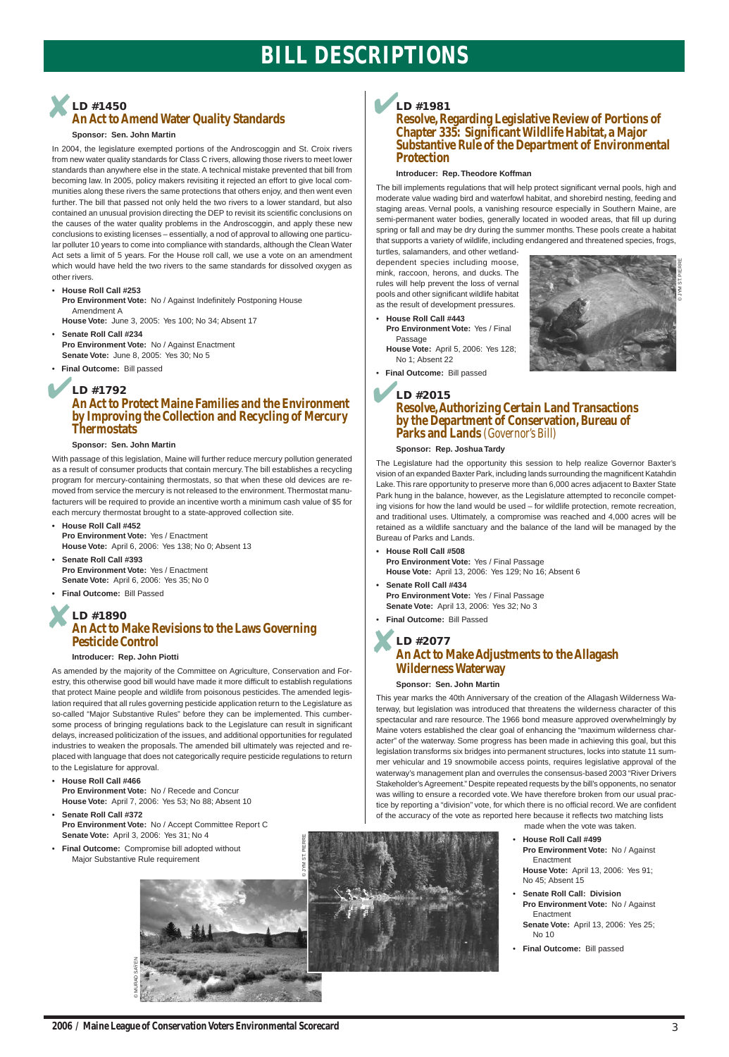## **BILL DESCRIPTIONS**

3

### **Resolve, Regarding Legislative Review of Portions of Chapter 335: Significant Wildlife Habitat, a Major Substantive Rule of the Department of Environmental Protection**

#### **Introducer: Rep. Theodore Koffman**

The bill implements regulations that will help protect significant vernal pools, high and moderate value wading bird and waterfowl habitat, and shorebird nesting, feeding and staging areas. Vernal pools, a vanishing resource especially in Southern Maine, are semi-permanent water bodies, generally located in wooded areas, that fill up during spring or fall and may be dry during the summer months. These pools create a habitat that supports a variety of wildlife, including endangered and threatened species, frogs,

turtles, salamanders, and other wetlanddependent species including moose, mink, raccoon, herons, and ducks. The rules will help prevent the loss of vernal pools and other significant wildlife habitat as the result of development pressures.

- **House Roll Call #443 Pro Environment Vote:** Yes / Final Passage **House Vote:** April 5, 2006: Yes 128;
- No 1; Absent 22
- • **Final Outcome:** Bill passed

#### **Sponsor: Rep. Joshua Tardy**

The Legislature had the opportunity this session to help realize Governor Baxter's vision of an expanded Baxter Park, including lands surrounding the magnificent Katahdin Lake. This rare opportunity to preserve more than 6,000 acres adjacent to Baxter State Park hung in the balance, however, as the Legislature attempted to reconcile competing visions for how the land would be used – for wildlife protection, remote recreation, and traditional uses. Ultimately, a compromise was reached and 4,000 acres will be retained as a wildlife sanctuary and the balance of the land will be managed by the Bureau of Parks and Lands.

## **LD #1981** ✔

- **House Roll Call #508 Pro Environment Vote:** Yes / Final Passage **House Vote:** April 13, 2006: Yes 129; No 16; Absent 6
- **Senate Roll Call #434 Pro Environment Vote:** Yes / Final Passage **Senate Vote:** April 13, 2006: Yes 32; No 3
- **Final Outcome:** Bill Passed

### **LD #2015 Resolve, Authorizing Certain Land Transactions by the Department of Conservation, Bureau of Parks and Lands** *(Governor's Bill)* ✔

#### **Sponsor: Sen. John Martin**

## **LD #2077 An Act to Make Adjustments to the Allagash Wilderness Waterway** ✘

This year marks the 40th Anniversary of the creation of the Allagash Wilderness Waterway, but legislation was introduced that threatens the wilderness character of this spectacular and rare resource. The 1966 bond measure approved overwhelmingly by Maine voters established the clear goal of enhancing the "maximum wilderness character" of the waterway. Some progress has been made in achieving this goal, but this legislation transforms six bridges into permanent structures, locks into statute 11 summer vehicular and 19 snowmobile access points, requires legislative approval of the waterway's management plan and overrules the consensus-based 2003 "River Drivers Stakeholder's Agreement." Despite repeated requests by the bill's opponents, no senator was willing to ensure a recorded vote. We have therefore broken from our usual practice by reporting a "division" vote, for which there is no official record. We are confident of the accuracy of the vote as reported here because it reflects two matching lists made when the vote was taken.

© JYM ST. PIERRE

### ✘ **LD #1450 An Act to Amend Water Quality Standards**

**Final Outcome:** Compromise bill adopted without Major Substantive Rule requirement

#### **Sponsor: Sen. John Martin**

In 2004, the legislature exempted portions of the Androscoggin and St. Croix rivers from new water quality standards for Class C rivers, allowing those rivers to meet lower standards than anywhere else in the state. A technical mistake prevented that bill from becoming law. In 2005, policy makers revisiting it rejected an effort to give local communities along these rivers the same protections that others enjoy, and then went even further. The bill that passed not only held the two rivers to a lower standard, but also contained an unusual provision directing the DEP to revisit its scientific conclusions on the causes of the water quality problems in the Androscoggin, and apply these new conclusions to existing licenses – essentially, a nod of approval to allowing one particular polluter 10 years to come into compliance with standards, although the Clean Water Act sets a limit of 5 years. For the House roll call, we use a vote on an amendment which would have held the two rivers to the same standards for dissolved oxygen as other rivers.

### ✔ **LD #1792 An Act to Protect Maine Families and the Environment by Improving the Collection and Recycling of Mercury Thermostats**

#### • **House Roll Call #253**

### ✘ **LD #1890 An Act to Make Revisions to the Laws Governing Pesticide Control**

**Pro Environment Vote:** No / Against Indefinitely Postponing House Amendment A

**House Vote:** June 3, 2005: Yes 100; No 34; Absent 17

- **Senate Roll Call #234 Pro Environment Vote:** No / Against Enactment **Senate Vote:** June 8, 2005: Yes 30; No 5
- • **Final Outcome:** Bill passed

#### **Sponsor: Sen. John Martin**

With passage of this legislation, Maine will further reduce mercury pollution generated as a result of consumer products that contain mercury. The bill establishes a recycling program for mercury-containing thermostats, so that when these old devices are removed from service the mercury is not released to the environment. Thermostat manufacturers will be required to provide an incentive worth a minimum cash value of \$5 for each mercury thermostat brought to a state-approved collection site.

**• House Roll Call #452 Pro Environment Vote:** Yes / Enactment **House Vote:** April 6, 2006: Yes 138; No 0; Absent 13

- **Senate Roll Call #393 Pro Environment Vote:** Yes / Enactment **Senate Vote:** April 6, 2006: Yes 35; No 0
- **Final Outcome:** Bill Passed

#### **Introducer: Rep. John Piotti**

As amended by the majority of the Committee on Agriculture, Conservation and Forestry, this otherwise good bill would have made it more difficult to establish regulations that protect Maine people and wildlife from poisonous pesticides. The amended legislation required that all rules governing pesticide application return to the Legislature as so-called "Major Substantive Rules" before they can be implemented. This cumbersome process of bringing regulations back to the Legislature can result in significant delays, increased politicization of the issues, and additional opportunities for regulated industries to weaken the proposals. The amended bill ultimately was rejected and replaced with language that does not categorically require pesticide regulations to return to the Legislature for approval.

#### • **House Roll Call #466**

**Pro Environment Vote:** No / Recede and Concur

**House Vote:** April 7, 2006: Yes 53; No 88; Absent 10

• **Senate Roll Call #372**

**Pro Environment Vote:** No / Accept Committee Report C **Senate Vote:** April 3, 2006: Yes 31; No 4



• **House Roll Call #499 Pro Environment Vote:** No / Against **Enactment House Vote:** April 13, 2006: Yes 91;

No 45; Absent 15

• **Senate Roll Call: Division Pro Environment Vote:** No / Against Enactment **Senate Vote:** April 13, 2006: Yes 25; No 10

• **Final Outcome:** Bill passed

© MURAD SAŸEN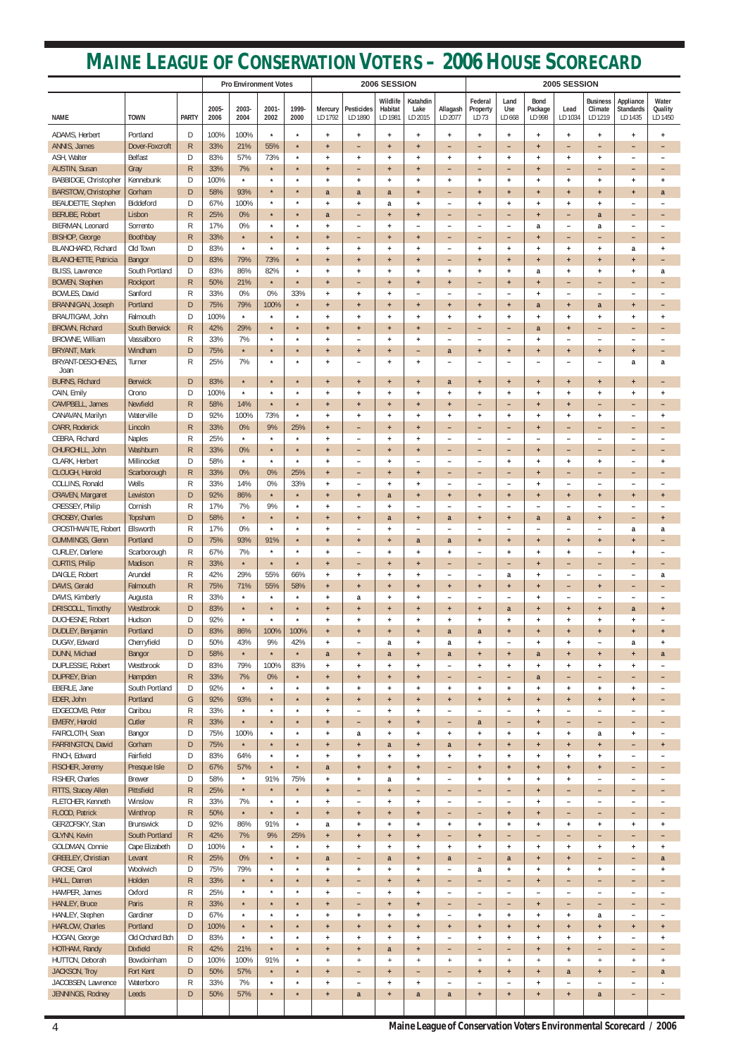|                                             |                              |                   | <b>Pro Environment Votes</b> |                    |                    |                    | 2006 SESSION       |                                       |                                               |                                 | 2005 SESSION                                         |                                               |                                                              |                                  |                                  |                                                      |                                                      |                                  |
|---------------------------------------------|------------------------------|-------------------|------------------------------|--------------------|--------------------|--------------------|--------------------|---------------------------------------|-----------------------------------------------|---------------------------------|------------------------------------------------------|-----------------------------------------------|--------------------------------------------------------------|----------------------------------|----------------------------------|------------------------------------------------------|------------------------------------------------------|----------------------------------|
| <b>NAME</b>                                 | <b>TOWN</b>                  | <b>PARTY</b>      | 2005-<br>2006                | 2003-<br>2004      | 2001-<br>2002      | 1999-<br>2000      | Mercury<br>LD 1792 | <b>Pesticides</b><br>LD 1890          | Wildlife<br>Habitat<br>LD 1981                | Katahdin<br>Lake<br>LD 2015     | Allagash<br>LD 2077                                  | Federal<br>Property<br>LD 73                  | Land<br>Use<br>LD 668                                        | <b>Bond</b><br>Package<br>LD 998 | Lead<br>LD 1034                  | <b>Business</b><br>Climate<br>LD 1219                | Appliance<br><b>Standards</b><br>LD 1435             | Water<br>Quality<br>LD 1450      |
| ADAMS, Herbert                              | Portland                     | D                 | 100%                         | 100%               | $\star$            | $\star$            | $\ddot{}$          | $\ddot{}$                             | $\ddot{}$                                     | $\ddot{}$                       | $+$                                                  | $+$                                           | $+$                                                          | $+$                              | $+$                              | $\ddot{}$                                            | $\ddot{}$                                            | $\ddot{}$                        |
| ANNIS, James                                | Dover-Foxcroft               | $\mathsf{R}$      | 33%                          | 21%                | 55%                | $\star$            | $+$                | -                                     | $\ddot{}$                                     | $\ddot{}$                       | -                                                    | $\overline{\phantom{0}}$                      | -                                                            | $+$                              | $\overline{\phantom{0}}$         | $\overline{\phantom{0}}$                             | $\overline{\phantom{m}}$                             |                                  |
| ASH, Walter                                 | <b>Belfast</b>               | D                 | 83%                          | 57%                | 73%                | $\star$            | $\ddot{}$          | $\ddot{}$                             | $+$                                           | $\ddot{}$                       | $\ddot{}$                                            | $+$                                           | $\ddot{}$                                                    | $+$                              | $+$                              | $+$                                                  | $\overline{\phantom{0}}$                             |                                  |
| <b>AUSTIN, Susan</b>                        | Gray                         | $\mathsf{R}$      | 33%                          | 7%                 | $\star$            | $\star$            | $+$                | $\qquad \qquad -$                     | $\ddot{}$                                     | $\ddot{\phantom{1}}$            | -                                                    | ٠                                             | $\overline{\phantom{0}}$                                     | $+$                              | -                                | $\qquad \qquad -$                                    | $\overline{\phantom{a}}$                             | $\qquad \qquad$                  |
| BABBIDGE, Christopher                       | Kennebunk                    | D                 | 100%                         | $\star$            | $\star$            | $\star$            | $\ddot{}$          | $\ddot{}$                             | $+$                                           | $\ddot{}$                       | $\ddot{}$                                            | $+$                                           | $\ddot{}$                                                    | $+$                              | $+$                              | $+$                                                  | $+$                                                  | $\ddot{}$                        |
| <b>BARSTOW, Christopher</b>                 | Gorham<br>Biddeford          | D<br>D            | 58%<br>67%                   | 93%<br>100%        | $\star$<br>$\star$ | $\star$<br>$\star$ | a                  | a                                     | a                                             | $+$                             | -                                                    | $+$                                           | $\ddot{}$                                                    | $+$                              | $\ddot{}$                        | $\ddot{}$                                            | $+$                                                  | a                                |
| BEAUDETTE, Stephen<br><b>BERUBE, Robert</b> | Lisbon                       | $\mathsf{R}$      | 25%                          | 0%                 | $\star$            | $\star$            | $\ddot{}$<br>a     | $\ddot{}$<br>$\overline{\phantom{0}}$ | a<br>$\ddot{\phantom{1}}$                     | $\ddot{}$<br>$+$                | $\overline{\phantom{0}}$<br>$\overline{\phantom{0}}$ | $+$<br>$\overline{\phantom{0}}$               | $\ddot{}$<br>$\overline{\phantom{0}}$                        | $+$<br>$+$                       | $+$<br>۰                         | $+$<br>a                                             | $\overline{\phantom{a}}$<br>$\overline{\phantom{m}}$ | $\overline{\phantom{0}}$         |
| BIERMAN, Leonard                            | Sorrento                     | R                 | 17%                          | 0%                 | $\star$            | $\star$            | $\ddot{}$          | $\overline{\phantom{0}}$              | $+$                                           |                                 | -                                                    | -                                             | $\overline{\phantom{0}}$                                     | a                                | $\overline{\phantom{a}}$         | a                                                    | $\overline{\phantom{0}}$                             |                                  |
| <b>BISHOP, George</b>                       | Boothbay                     | $\mathsf{R}$      | 33%                          | $\star$            | $\star$            | $\star$            | $+$                | -                                     | $\ddot{}$                                     | $\ddot{}$                       | -                                                    | $\overline{\phantom{0}}$                      | -                                                            | $\ddot{}$                        | $\overline{\phantom{0}}$         | $\overline{\phantom{0}}$                             | $\overline{\phantom{m}}$                             | -                                |
| <b>BLANCHARD, Richard</b>                   | Old Town                     | D                 | 83%                          | $\star$            | $\star$            | $\star$            | $\ddot{}$          | $\ddot{}$                             | $+$                                           | $\overline{1}$                  | $\overline{\phantom{0}}$                             | $+$                                           | $\ddot{}$                                                    | $+$                              | $+$                              | $+$                                                  | a                                                    | $\ddot{}$                        |
| <b>BLANCHETTE, Patricia</b>                 | Bangor                       | D                 | 83%                          | 79%                | 73%                | $\star$            | $+$                | $\ddot{}$                             | $\ddot{}$                                     | $\ddot{\phantom{1}}$            | -                                                    | $+$                                           | $\ddot{}$                                                    | $+$                              | $\ddot{}$                        | $+$                                                  | $+$                                                  | $\overline{\phantom{m}}$         |
| <b>BLISS, Lawrence</b>                      | South Portland               | D                 | 83%                          | 86%                | 82%                | $\star$            | $\ddot{}$          | $\ddot{}$                             | $\ddot{}$                                     | $\ddot{}$                       | $\ddot{}$                                            | $+$                                           | $\ddot{}$                                                    | a                                | $\ddot{}$                        | $+$                                                  | $+$                                                  | a                                |
| <b>BOWEN, Stephen</b><br>BOWLES, David      | Rockport<br>Sanford          | $\mathsf{R}$<br>R | 50%<br>33%                   | 21%<br>0%          | $\star$<br>0%      | $\star$<br>33%     | $+$<br>$\ddot{}$   | -<br>$\ddot{}$                        | $\ddot{}$<br>$+$                              | $+$<br>$\overline{\phantom{0}}$ | $\ddot{}$<br>$\overline{\phantom{0}}$                | $\overline{\phantom{0}}$<br>$\qquad \qquad -$ | $\ddot{}$<br>$\overline{\phantom{a}}$                        | $+$<br>$+$                       | -<br>$\overline{\phantom{0}}$    | $\overline{\phantom{0}}$<br>$\overline{\phantom{a}}$ | $\overline{\phantom{m}}$<br>$\overline{\phantom{a}}$ |                                  |
| <b>BRANNIGAN, Joseph</b>                    | Portland                     | D                 | 75%                          | 79%                | 100%               | $\star$            | $+$                | $+$                                   | $\ddot{}$                                     | $\ddot{}$                       | $\ddot{}$                                            | $+$                                           | $\ddot{}$                                                    | a                                | $\ddot{}$                        | a                                                    | $+$                                                  | $\overline{\phantom{0}}$         |
| BRAUTIGAM, John                             | Falmouth                     | D                 | 100%                         | $\star$            | $\star$            | $\star$            | $\ddot{}$          | $\ddot{}$                             | $+$                                           | $\ddot{}$                       | $+$                                                  | $+$                                           | $+$                                                          | $+$                              | $+$                              | $+$                                                  | $\ddot{\phantom{1}}$                                 | $\ddot{}$                        |
| <b>BROWN, Richard</b>                       | South Berwick                | $\mathsf{R}$      | 42%                          | 29%                | $\star$            | $\star$            | $\ddot{}$          | $+$                                   | $\ddot{}$                                     | $\ddot{\phantom{1}}$            | -                                                    | $\overline{\phantom{0}}$                      | $\overline{\phantom{0}}$                                     | a                                | $+$                              | $\overline{\phantom{0}}$                             | $\overline{\phantom{m}}$                             |                                  |
| BROWNE, William                             | Vassalboro                   | R                 | 33%                          | 7%                 | $\star$            | $\star$            | $\ddot{}$          | $\overline{\phantom{0}}$              | $+$                                           | $\ddot{}$                       | $\overline{\phantom{0}}$                             | $\qquad \qquad -$                             | $\overline{\phantom{a}}$                                     | $+$                              | $\overline{\phantom{0}}$         | $\overline{\phantom{0}}$                             | $\overline{\phantom{0}}$                             |                                  |
| <b>BRYANT, Mark</b>                         | Windham                      | D                 | 75%                          | $\star$            | $\star$            | $\star$            | $\ddot{}$          | $\ddot{}$                             | $\ddot{}$                                     | ۳                               | a                                                    | $+$                                           | $\ddot{}$                                                    | $+$                              | $\ddot{}$                        | $\ddot{}$                                            | $+$                                                  | $\overline{\phantom{m}}$         |
| BRYANT-DESCHENES,<br>Joan                   | Turner                       | R                 | 25%                          | 7%                 | $\star$            | $\star$            | $\ddot{}$          | $\overline{\phantom{m}}$              | $\ddot{}$                                     | $\ddot{}$                       | L.                                                   | $\overline{\phantom{0}}$                      | $\overline{\phantom{0}}$                                     | $\overline{\phantom{0}}$         | $\qquad \qquad -$                | ۰                                                    | a                                                    | a                                |
| <b>BURNS, Richard</b>                       | <b>Berwick</b>               | D                 | 83%                          | $\star$            | $\star$            | $\star$            | $+$                | $+$                                   | $+$                                           | $+$                             | a                                                    | $+$                                           | $\ddot{}$                                                    | $+$                              | $\ddot{}$                        | $+$                                                  | $+$                                                  | -                                |
| CAIN, Emily                                 | Orono                        | D                 | 100%                         | $\star$            | $\star$            | $\star$            | $\ddot{}$          | $\ddot{}$                             | $\ddot{}$                                     | $\ddot{}$                       | $\ddot{}$                                            | $\ddot{}$                                     | $\ddot{}$                                                    | $+$                              | $+$                              | $\ddot{}$                                            | $+$                                                  | $\ddot{}$                        |
| CAMPBELL, James                             | Newfield                     | $\mathsf{R}$      | 58%                          | 14%                | $\star$            | $\star$            | $+$                | $+$                                   | $+$                                           | $+$                             | $\ddot{}$                                            | $\overline{\phantom{0}}$                      | -                                                            | $+$                              | $+$                              | $\overline{\phantom{a}}$                             | $\overline{\phantom{a}}$                             | -                                |
| CANAVAN, Marilyn                            | Waterville                   | D                 | 92%                          | 100%               | 73%                | $\star$            | $\ddot{}$          | $\ddot{}$                             | $\ddot{}$                                     | $\ddot{}$                       | $\ddot{}$                                            | $\ddot{}$                                     | $\ddot{}$                                                    | $+$                              | $\ddot{}$                        | $\ddot{}$                                            | $\overline{\phantom{a}}$                             | $\ddot{}$                        |
| <b>CARR, Roderick</b>                       | Lincoln                      | $\mathsf{R}$      | 33%                          | 0%                 | 9%                 | 25%                | $+$                | -                                     | $\ddot{}$                                     | $+$                             | -                                                    | -                                             | -                                                            | $+$                              | -                                | $\qquad \qquad -$                                    | $\overline{\phantom{a}}$                             | $\overline{\phantom{m}}$         |
| CEBRA, Richard                              | <b>Naples</b><br>Washburn    | R                 | 25%                          | $\star$            | $\star$<br>$\star$ | $\star$<br>$\star$ | $\ddot{}$          | $\overline{\phantom{a}}$              | $\ddot{}$                                     | $\ddot{}$                       | $\overline{\phantom{0}}$                             | $\qquad \qquad -$                             | $\overline{\phantom{m}}$                                     | $\overline{\phantom{a}}$         | $\qquad \qquad -$                | $\overline{\phantom{a}}$                             | $\overline{\phantom{a}}$                             |                                  |
| CHURCHILL, John<br>CLARK, Herbert           | Millinocket                  | $\mathsf{R}$<br>D | 33%<br>58%                   | 0%<br>$\star$      | $\star$            | $\star$            | $+$<br>$\ddot{}$   | -<br>$\overline{\phantom{0}}$         | $\ddot{}$<br>$\ddot{}$                        | $+$                             | -<br>$\overline{\phantom{0}}$                        | -<br>$\overline{\phantom{0}}$                 | $\overline{\phantom{0}}$<br>$\begin{array}{c} + \end{array}$ | $+$<br>$\ddot{}$                 | -<br>$\ddot{}$                   | $\overline{\phantom{0}}$<br>$\ddot{}$                | $\overline{\phantom{m}}$                             | -<br>$\ddot{}$                   |
| CLOUGH, Harold                              | Scarborough                  | R                 | 33%                          | 0%                 | 0%                 | 25%                | $\ddot{}$          |                                       | $\ddot{}$                                     | $\ddot{}$                       |                                                      | $\overline{\phantom{0}}$                      | $\overline{\phantom{0}}$                                     | $+$                              | $\overline{\phantom{0}}$         |                                                      |                                                      |                                  |
| COLLINS, Ronald                             | Wells                        | R                 | 33%                          | 14%                | 0%                 | 33%                | $\ddot{}$          | $\overline{\phantom{0}}$              | $\ddot{}$                                     | $\ddot{}$                       | $\overline{\phantom{0}}$                             | $\overline{\phantom{0}}$                      | $\overline{\phantom{0}}$                                     | $+$                              | $\overline{\phantom{0}}$         | $\overline{\phantom{0}}$                             | $\overline{\phantom{0}}$                             |                                  |
| CRAVEN, Margaret                            | Lewiston                     | D                 | 92%                          | 86%                | $\star$            | $\star$            | $+$                | $+$                                   | a                                             | $+$                             | $\ddot{}$                                            | $+$                                           | $\ddot{}$                                                    | $+$                              | $+$                              | $+$                                                  | $+$                                                  | $\ddot{}$                        |
| CRESSEY, Philip                             | Cornish                      | R                 | 17%                          | 7%                 | 9%                 | $\star$            | $\ddot{}$          | $\overline{\phantom{0}}$              | $\begin{array}{c} + \end{array}$              | -                               |                                                      | $\qquad \qquad -$                             | $\overline{\phantom{a}}$                                     | $\overline{\phantom{0}}$         | $\overline{\phantom{0}}$         | ۰                                                    | $\overline{\phantom{m}}$                             |                                  |
| <b>CROSBY, Charles</b>                      | Topsham                      | D                 | 58%                          | $\star$            | $\star$            | $\star$            | $+$                | $+$                                   | a                                             | $+$                             | a                                                    | $+$                                           | $+$                                                          | a                                | a                                | $+$                                                  | $\overline{\phantom{a}}$                             | $+$                              |
| <b>CROSTHWAITE, Robert</b>                  | Ellsworth                    | R                 | 17%                          | $0\%$              | $\star$            | $\star$            | $\ddot{}$          | $\overline{\phantom{a}}$              | $\begin{array}{c} + \end{array}$              | $\overline{\phantom{0}}$        | $\overline{\phantom{0}}$                             | $\qquad \qquad -$                             | $\overline{\phantom{m}}$                                     | $\overline{\phantom{a}}$         | $\qquad \qquad -$                | $\overline{\phantom{m}}$                             | a                                                    | a                                |
| <b>CUMMINGS, Glenn</b><br>CURLEY, Darlene   | Portland<br>Scarborough      | D.<br>R           | 75%<br>67%                   | 93%<br>7%          | 91%<br>$\star$     | $\star$<br>$\star$ | $+$                | $+$<br>$\overline{\phantom{0}}$       | $\begin{array}{c} + \end{array}$<br>$\ddot{}$ | a<br>$\ddot{}$                  | a<br>$\ddot{}$                                       | $+$<br>$\qquad \qquad -$                      | $\ddot{}$                                                    | $+$                              | $+$<br>$+$                       | $+$<br>۰                                             | $+$<br>$\ddot{\phantom{1}}$                          |                                  |
| <b>CURTIS, Philip</b>                       | Madison                      | $\mathsf{R}$      | 33%                          | $\star$            | $\star$            | $\star$            | $\ddot{}$<br>$+$   | -                                     | $\ddot{}$                                     | $+$                             | -                                                    | -                                             | $\ddot{}$<br>-                                               | $+$<br>$+$                       | ٠                                | -                                                    | $\overline{\phantom{a}}$                             |                                  |
| DAIGLE, Robert                              | Arundel                      | R                 | 42%                          | 29%                | 55%                | 66%                | $\ddot{}$          | $\ddot{}$                             | $\ddot{}$                                     | $\ddot{}$                       | $\overline{\phantom{0}}$                             | $\qquad \qquad -$                             | a                                                            | $+$                              | $\overline{\phantom{0}}$         | ۰                                                    | $\overline{\phantom{0}}$                             | a                                |
| DAVIS, Gerald                               | Falmouth                     | $\mathsf{R}$      | 75%                          | 71%                | 55%                | 58%                | $+$                | $+$                                   | $\ddot{}$                                     | $+$                             | $+$                                                  | $+$                                           | $\ddot{}$                                                    | $+$                              | -                                | $+$                                                  | $\overline{\phantom{a}}$                             |                                  |
| DAVIS, Kimberly                             | Augusta                      | R                 | 33%                          | $^\star$           | $\star$            | $\star$            | $\ddag$            | a                                     | $\begin{array}{c} + \end{array}$              | $\ddot{}$                       | $\overline{\phantom{0}}$                             | $\overline{\phantom{0}}$                      | $\overline{\phantom{a}}$                                     | $\ddot{}$                        | $\overline{\phantom{0}}$         | $\overline{\phantom{a}}$                             | $\overline{\phantom{m}}$                             |                                  |
| DRISCOLL, Timothy                           | Westbrook                    | D                 | 83%                          | $\star$            | $\star$            | $\star$            | $+$                | $+$                                   | $\ddot{}$                                     | $+$                             | $+$                                                  | $+$                                           | a                                                            | $+$                              | $\ddot{}$                        | $+$                                                  | a                                                    | $\ddot{}$                        |
| <b>DUCHESNE, Robert</b>                     | Hudson                       | D                 | 92%                          | $\star$            | $\star$            | $\star$            | $+$                | $\ddot{}$                             | $\begin{array}{c} + \end{array}$              | $\ddot{}$                       | $\begin{array}{c} + \end{array}$                     | $+$                                           | $\ddag$                                                      | $+$                              | $\begin{array}{c} + \end{array}$ | $+$                                                  | $+$                                                  |                                  |
| DUDLEY, Benjamin<br>DUGAY, Edward           | Portland<br>Cherryfield      | D<br>D            | 83%<br>50%                   | 86%<br>43%         | 100%<br>9%         | 100%<br>42%        | $+$                | $+$                                   | $\begin{array}{c} + \end{array}$              | $+$                             | a                                                    | a                                             | $+$                                                          | $+$                              | $+$                              | $+$                                                  | $+$                                                  | $+$                              |
| DUNN, Michael                               | Bangor                       | D                 | 58%                          | $\star$            | $\star$            | $\star$            | $\ddot{}$<br>a     | $\overline{\phantom{0}}$<br>$+$       | a<br>a                                        | $\ddot{}$<br>$+$                | a<br>a                                               | $+$<br>$+$                                    | $\overline{\phantom{a}}$<br>$+$                              | $+$<br>a                         | $+$<br>$+$                       | $\overline{\phantom{a}}$<br>$+$                      | a<br>$+$                                             | $\ddot{}$<br>a                   |
| <b>DUPLESSIE, Robert</b>                    | Westbrook                    | D                 | 83%                          | 79%                | 100%               | 83%                | $\ddot{}$          | $\ddot{}$                             | $+$                                           | $\ddot{}$                       | $\overline{\phantom{0}}$                             | $+$                                           | $\ddot{}$                                                    | $+$                              | $+$                              | $+$                                                  | $+$                                                  |                                  |
| DUPREY, Brian                               | Hampden                      | $\mathsf{R}$      | 33%                          | 7%                 | 0%                 | $\star$            | $+$                | $+$                                   | $\ddot{}$                                     | $+$                             | -                                                    | $\overline{\phantom{0}}$                      | -                                                            | a                                | -                                | $\qquad \qquad -$                                    | $\overline{\phantom{a}}$                             |                                  |
| EBERLE, Jane                                | South Portland               | D                 | 92%                          | $^\star$           | $\star$            | $\star$            | $\ddot{}$          | $\ddot{}$                             | $\begin{array}{c} + \end{array}$              | $\ddot{}$                       | $\ddot{}$                                            | $+$                                           | $\ddot{}$                                                    | $+$                              | $\ddot{}$                        | $+$                                                  | $+$                                                  |                                  |
| EDER, John                                  | Portland                     | G                 | 92%                          | 93%                | $\star$            | $\star$            | $+$                | $+$                                   | $\ddot{}$                                     | $+$                             | $\ddot{}$                                            | $+$                                           | $\ddot{}$                                                    | $+$                              | $\ddot{}$                        | $+$                                                  | $+$                                                  | $\qquad \qquad -$                |
| EDGECOMB, Peter                             | Caribou                      | R                 | 33%                          | $\star$            | $\star$            | $\star$            | $\ddot{}$          | $\overline{\phantom{a}}$              | $\begin{array}{c} + \end{array}$              | $\ddot{}$                       | $\overline{\phantom{a}}$                             | $\qquad \qquad -$                             | $\overline{\phantom{m}}$                                     | $\ddot{}$                        | $\overline{\phantom{0}}$         | $\overline{\phantom{m}}$                             | $\overline{\phantom{m}}$                             |                                  |
| <b>EMERY, Harold</b><br>FAIRCLOTH, Sean     | Cutler                       | R<br>D            | 33%<br>75%                   | $\star$<br>100%    | $\star$<br>$\star$ | $\star$<br>$\star$ | $+$                | $\overline{\phantom{0}}$              | $\begin{array}{c} + \end{array}$              | $+$                             | $\overline{\phantom{a}}$                             | a                                             | $\qquad \qquad -$                                            | $+$                              | -                                | $\overline{\phantom{a}}$                             | $\overline{\phantom{a}}$                             |                                  |
| FARRINGTON, David                           | Bangor<br>Gorham             | D                 | 75%                          | $\star$            | $\star$            | $\star$            | $\ddot{}$<br>$+$   | a<br>$+$                              | $+$<br>a                                      | $\ddot{}$<br>$+$                | $+$<br>a                                             | $+$<br>$+$                                    | $\ddot{}$<br>$+$                                             | $\ddot{}$<br>$+$                 | $+$<br>$+$                       | a<br>$+$                                             | $+$<br>$\overline{\phantom{a}}$                      | $\ddot{}$                        |
| FINCH, Edward                               | Fairfield                    | D                 | 83%                          | 64%                | $\star$            | $\star$            | $\ddot{}$          | $\ddot{}$                             | $\ddot{}$                                     | $\ddot{}$                       | $\ddot{}$                                            | $+$                                           | $\ddot{}$                                                    | $+$                              | $+$                              | $+$                                                  | $\overline{\phantom{0}}$                             |                                  |
| FISCHER, Jeremy                             | Presque Isle                 | D                 | 67%                          | 57%                | $\star$            | $\star$            | a                  | $+$                                   | $\begin{array}{c} + \end{array}$              | $+$                             | -                                                    | $+$                                           | $\ddot{}$                                                    | $+$                              | $+$                              | $+$                                                  | $\overline{\phantom{a}}$                             |                                  |
| FISHER, Charles                             | <b>Brewer</b>                | D                 | 58%                          | $\star$            | 91%                | 75%                | $\ddot{}$          | $\ddot{}$                             | a                                             | $\ddot{}$                       | $\overline{\phantom{0}}$                             | $\ddot{}$                                     | $\ddot{}$                                                    | $+$                              | $\begin{array}{c} + \end{array}$ | $\overline{\phantom{a}}$                             | $\overline{\phantom{a}}$                             |                                  |
| FITTS, Stacey Allen                         | Pittsfield                   | $\mathsf{R}$      | 25%                          | $\star$            | $\star$            | $\star$            | $+$                | -                                     | $\ddot{}$                                     | -                               | -                                                    | -                                             | -                                                            | $+$                              | -                                | $\overline{\phantom{a}}$                             | $\overline{\phantom{a}}$                             |                                  |
| FLETCHER, Kenneth                           | Winslow                      | R                 | 33%                          | 7%                 | $\star$            | $\star$            | $+$                | $\overline{\phantom{a}}$              | $\ddot{}$                                     | $\ddot{}$                       | $\overline{\phantom{a}}$                             | $\overline{\phantom{0}}$                      | $\overline{\phantom{m}}$                                     | $+$                              | $\overline{\phantom{0}}$         | $\overline{\phantom{m}}$                             | $\overline{\phantom{a}}$                             |                                  |
| FLOOD, Patrick<br>GERZOFSKY, Stan           | Winthrop<br><b>Brunswick</b> | R<br>D            | 50%<br>92%                   | $\star$<br>86%     | $\star$<br>91%     | $\star$<br>$\star$ | $+$<br>a           | $+$<br>$\ddot{}$                      | $\begin{array}{c} + \end{array}$<br>$\ddot{}$ | $+$<br>$\ddot{}$                | $\overline{\phantom{0}}$<br>$+$                      | ٠<br>$+$                                      | $+$<br>$\ddot{}$                                             | $+$<br>$+$                       | -<br>$+$                         | $\overline{\phantom{0}}$<br>$+$                      | $\overline{\phantom{m}}$<br>$+$                      |                                  |
| <b>GLYNN, Kevin</b>                         | South Portland               | $\mathsf{R}$      | 42%                          | 7%                 | 9%                 | 25%                | $+$                | $+$                                   | $+$                                           | $+$                             | -                                                    | $+$                                           | -                                                            | $\overline{\phantom{0}}$         | -                                | $\overline{\phantom{0}}$                             | $\overline{\phantom{m}}$                             | $\ddot{}$                        |
| GOLDMAN, Connie                             | Cape Elizabeth               | D                 | 100%                         | $\star$            | $\star$            | $\star$            | $\ddot{}$          | $\ddot{}$                             | $\ddot{}$                                     | $\ddot{\phantom{1}}$            | $+$                                                  | $+$                                           | $\ddot{}$                                                    | $+$                              | $+$                              | $\ddot{}$                                            | $+$                                                  | $\ddot{}$                        |
| GREELEY, Christian                          | Levant                       | $\mathsf{R}$      | 25%                          | 0%                 | $\star$            | $\star$            | a                  | -                                     | a                                             | $+$                             | a                                                    | $\overline{\phantom{0}}$                      | a                                                            | $+$                              | $+$                              | $\qquad \qquad -$                                    | $\overline{\phantom{a}}$                             | a                                |
| GROSE, Carol                                | Woolwich                     | D                 | 75%                          | 79%                | $\star$            |                    | $\ddot{}$          | $\ddot{}$                             | $\ddot{}$                                     | $\ddot{}$                       |                                                      | a                                             | $\ddot{}$                                                    | $+$                              | $\ddot{}$                        | $+$                                                  | $\overline{\phantom{a}}$                             | $\overline{+}$                   |
| HALL, Darren                                | Holden                       | $\mathsf{R}$      | 33%                          | $\star$            | $\star$            | $\star$            | $\ddot{}$          | -                                     | $\ddot{}$                                     | $\ddot{}$                       | -                                                    | -                                             | -                                                            | $+$                              | ۰                                | -                                                    | -                                                    |                                  |
| HAMPER, James                               | Oxford                       | R                 | 25%                          | $\star$            | $\star$            | $\star$            | $\ddot{}$          | $\overline{\phantom{m}}$              | $\ddot{}$                                     | $\ddot{}$                       | -                                                    | $\qquad \qquad -$                             | $\overline{\phantom{m}}$                                     | $\overline{\phantom{a}}$         | $\overline{\phantom{0}}$         | $\overline{\phantom{m}}$                             | $\qquad \qquad -$                                    |                                  |
| HANLEY, Bruce                               | Paris                        | $\mathsf{R}$      | 33%<br>67%                   | $\star$<br>$\star$ | $\star$<br>$\star$ | $\star$<br>$\star$ | $+$                | -                                     | $+$                                           | $+$                             | -                                                    | $\overline{\phantom{0}}$                      | -                                                            | $+$                              | -                                | -                                                    | $\overline{\phantom{a}}$                             |                                  |
| HANLEY, Stephen<br>HARLOW, Charles          | Gardiner<br>Portland         | D<br>D            | 100%                         | $\star$            | $\star$            | $\star$            | $\ddot{}$<br>$+$   | $\ddot{}$<br>$+$                      | $+$<br>$+$                                    | $\ddot{}$<br>$+$                | $\overline{\phantom{m}}$<br>$+$                      | $+$<br>$+$                                    | $\ddot{}$<br>$\ddot{}$                                       | $+$<br>$+$                       | $\ddot{}$<br>$+$                 | a<br>$+$                                             | $\overline{\phantom{a}}$<br>$+$                      | $\ddot{}$                        |
| HOGAN, George                               | Old Orchard Bch              | D                 | 83%                          | $\star$            | $\star$            | $\star$            | $\ddot{}$          | $\ddot{}$                             | $+$                                           | $\ddot{}$                       | $\overline{\phantom{a}}$                             | $\ddot{}$                                     | $\ddot{}$                                                    | $+$                              | $\ddot{}$                        | $+$                                                  | $\overline{\phantom{a}}$                             | $\ddot{}$                        |
| HOTHAM, Randy                               | <b>Dixfield</b>              | $\mathsf{R}$      | 42%                          | 21%                | $\star$            | $\star$            | $+$                | $+$                                   | $\mathbf{a}$                                  | $\ddot{}$                       | -                                                    | ÷                                             | -                                                            | $+$                              | $\ddot{}$                        | $\qquad \qquad -$                                    | $\overline{\phantom{a}}$                             | $\overline{\phantom{m}}$         |
| HUTTON, Deborah                             | Bowdoinham                   | D                 | 100%                         | 100%               | 91%                | $\star$            | $^{+}$             | $\begin{array}{c} + \end{array}$      | $\, +$                                        | $^{+}$                          | $^{+}$                                               | $+$                                           | $\begin{array}{c} + \end{array}$                             | $^{+}$                           | $^{+}$                           | $^{+}$                                               | $+$                                                  | $\begin{array}{c} + \end{array}$ |
| JACKSON, Troy                               | Fort Kent                    | D                 | 50%                          | 57%                | $\star$            | $\star$            | $+$                | $-$                                   | $+$                                           | -                               | -                                                    | $+$                                           | $\ddot{}$                                                    | $+$                              | a                                | $+$                                                  | $\overline{\phantom{a}}$                             | a                                |
| JACOBSEN, Lawrence                          | Waterboro                    | R                 | 33%                          | 7%                 | $\star$            | $\star$            | $\ddot{}$          | $\overline{\phantom{a}}$              | $\begin{array}{c} + \end{array}$              | $\ddot{}$                       | $\overline{\phantom{a}}$                             | $\qquad \qquad -$                             | $\overline{\phantom{a}}$                                     | $+$                              | $\qquad \qquad -$                | $\overline{\phantom{a}}$                             | $\overline{\phantom{m}}$                             |                                  |
| JENNINGS, Rodney                            | Leeds                        | D                 | 50%                          | 57%                | $\star$            | $\star$            | $+$                | $\mathbf{a}$                          | $+$                                           | $\mathbf{a}$                    | a                                                    | $+$                                           | $\ddot{}$                                                    | $+$                              | $\begin{array}{c} + \end{array}$ | $\mathbf{a}$                                         | $\overline{\phantom{a}}$                             |                                  |
|                                             |                              |                   |                              |                    |                    |                    |                    |                                       |                                               |                                 |                                                      |                                               |                                                              |                                  |                                  |                                                      |                                                      |                                  |

## **MAINE LEAGUE OF CONSERVATION VOTERS – 2006 HOUSE SCORECARD**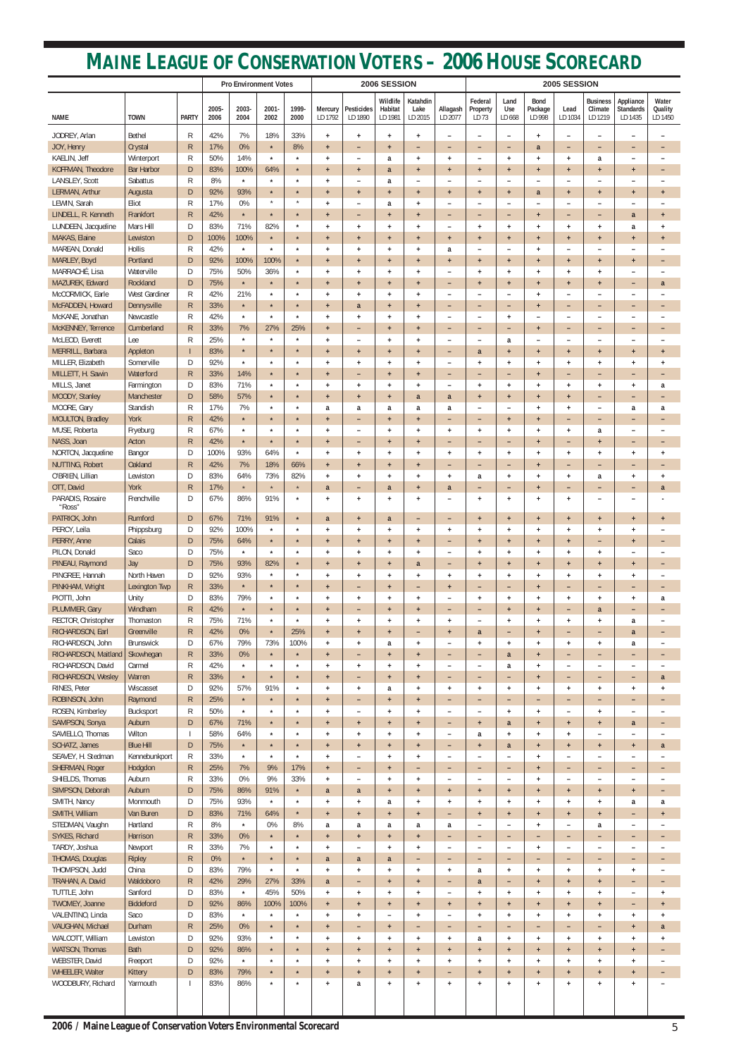## **MAINE LEAGUE OF CONSERVATION VOTERS – 2006 HOUSE SCORECARD**

|                                         |                         |                          | <b>Pro Environment Votes</b> |                    |                    |                    | 2006 SESSION           |                                         |                                   |                                               |                                                      | 2005 SESSION                    |                                       |                                  |                                 |                                       |                                                       |                                       |
|-----------------------------------------|-------------------------|--------------------------|------------------------------|--------------------|--------------------|--------------------|------------------------|-----------------------------------------|-----------------------------------|-----------------------------------------------|------------------------------------------------------|---------------------------------|---------------------------------------|----------------------------------|---------------------------------|---------------------------------------|-------------------------------------------------------|---------------------------------------|
| NAME                                    | <b>TOWN</b>             | <b>PARTY</b>             | 2005-<br>2006                | 2003-<br>2004      | $2001 -$<br>2002   | 1999-<br>2000      | Mercury<br>LD 1792     | <b>Pesticides</b><br>LD 1890            | Wildlife<br>Habitat<br>LD 1981    | Katahdin<br>Lake<br>LD 2015                   | Allagash<br>LD 2077                                  | Federal<br>Property<br>LD 73    | Land<br>Use<br>LD 668                 | <b>Bond</b><br>Package<br>LD 998 | Lead<br>LD 1034                 | <b>Business</b><br>Climate<br>LD 1219 | Appliance<br>Standards<br>LD 1435                     | Water<br>Quality<br>LD 1450           |
| JODREY, Arlan                           | <b>Bethel</b>           | R                        | 42%                          | 7%                 | 18%                | 33%                | $+$                    | $\ddot{}$                               | $\ddot{}$                         | $\ddot{}$                                     | $\qquad \qquad -$                                    | -                               | $\overline{\phantom{a}}$              | $\ddot{}$                        | $\overline{\phantom{0}}$        | $\overline{\phantom{a}}$              | $\overline{\phantom{0}}$                              |                                       |
| JOY, Henry                              | Crystal                 | $\mathsf{R}$             | 17%                          | 0%                 | $\star$            | 8%                 | $\ddot{}$              | -                                       | $\ddot{}$                         | $\overline{\phantom{0}}$                      | $\overline{\phantom{0}}$                             | -                               | $\overline{\phantom{0}}$              | a                                | ۳                               | $\overline{\phantom{a}}$              | $\qquad \qquad -$                                     | $\overline{\phantom{0}}$              |
| KAELIN, Jeff                            | Winterport              | R                        | 50%                          | 14%                | $\star$            | $\star$            | $+$                    | $\overline{\phantom{0}}$                | a                                 | $\overline{+}$                                | $+$                                                  | $\overline{\phantom{0}}$        | $+$                                   | $\ddot{}$                        | $\ddot{}$                       | a                                     | $\overline{\phantom{m}}$                              |                                       |
| KOFFMAN, Theodore                       | <b>Bar Harbor</b>       | $\mathsf{D}$             | 83%                          | 100%               | 64%                | $\star$            | $\ddot{}$              | $+$                                     | a                                 | $\ddot{}$                                     | $\ddot{}$                                            | $+$                             | $\ddot{}$                             | $\ddot{}$                        | $\ddot{}$                       | $\ddot{}$                             | $\ddot{}$                                             | $\overline{\phantom{0}}$              |
| LANSLEY, Scott<br>LERMAN, Arthur        | Sabattus                | R<br>D                   | 8%<br>92%                    | $\star$<br>93%     | $\star$<br>$\star$ | $\star$<br>$\star$ | $+$                    | $\qquad \qquad -$                       | a                                 | $\overline{\phantom{a}}$<br>$\ddot{}$         | $\overline{\phantom{a}}$                             | -                               | $\overline{\phantom{a}}$              | $\overline{\phantom{0}}$         | $\overline{\phantom{0}}$        | $\overline{\phantom{a}}$              | $\overline{\phantom{m}}$                              |                                       |
| LEWIN, Sarah                            | Augusta<br>Eliot        | R                        | 17%                          | 0%                 | $\star$            | $\star$            | $\ddot{}$<br>$+$       | $\ddot{}$<br>$\overline{\phantom{0}}$   | $\ddot{}$<br>a                    | $\overline{1}$                                | $\ddot{}$<br>$\overline{\phantom{0}}$                | $+$<br>۳                        | $\ddot{}$<br>$\overline{\phantom{0}}$ | a                                | $\ddot{}$<br>-                  | $\ddot{}$<br>۰                        | $\ddot{}$                                             | $\ddot{}$                             |
| LINDELL, R. Kenneth                     | Frankfort               | $\mathsf{R}$             | 42%                          | $\star$            | $\star$            | $\star$            | $+$                    | $\overline{\phantom{0}}$                | $\ddot{\phantom{1}}$              | $\overline{1}$                                | $\overline{\phantom{0}}$                             | -                               | $\overline{\phantom{a}}$              | $\ddot{}$                        | ۳                               | $\overline{\phantom{0}}$              | a                                                     | $\ddot{}$                             |
| LUNDEEN, Jacqueline                     | Mars Hill               | D                        | 83%                          | 71%                | 82%                | $\star$            | $+$                    | $\ddot{}$                               | $\ddot{}$                         | $\ddot{}$                                     | $\overline{\phantom{a}}$                             | $+$                             | $+$                                   | $\ddot{}$                        | $+$                             | $+$                                   | a                                                     | $\ddot{}$                             |
| MAKAS, Elaine                           | Lewiston                | D                        | 100%                         | 100%               | $\star$            | $\star$            | $\ddot{}$              | $+$                                     | $\ddot{}$                         | $\ddot{}$                                     | $\ddot{}$                                            | $+$                             | $\ddot{}$                             | $+$                              | $+$                             | $+$                                   | $+$                                                   | $\ddot{}$                             |
| MAREAN, Donald                          | <b>Hollis</b>           | R                        | 42%                          | $\star$            | $\star$            | $\star$            | $+$                    | $\ddot{}$                               | $\ddot{}$                         | $\ddot{}$                                     | a                                                    | $\overline{\phantom{0}}$        | ۰                                     | $\ddot{}$                        | -                               | $\overline{\phantom{a}}$              | $\overline{\phantom{0}}$                              |                                       |
| MARLEY, Boyd<br>MARRACHÉ, Lisa          | Portland<br>Waterville  | $\mathsf{D}$             | 92%<br>75%                   | 100%<br>50%        | 100%<br>36%        | $\star$<br>$\star$ | $\ddot{}$              | $\ddot{}$                               | $\ddot{}$                         | $\ddot{}$                                     | $+$                                                  | $+$                             | $+$                                   | $+$                              | $+$                             | $+$                                   | $+$                                                   | $\overline{\phantom{0}}$              |
| MAZUREK, Edward                         | Rockland                | D<br>D                   | 75%                          | $\star$            | $\star$            | $\star$            | $+$<br>$+$             | $\ddot{}$<br>$\ddot{}$                  | $\ddot{}$<br>$\ddot{}$            | $\ddot{}$<br>$\ddot{}$                        | $\overline{\phantom{a}}$<br>$\overline{\phantom{a}}$ | $+$<br>$+$                      | $+$<br>$\ddot{}$                      | $+$<br>$+$                       | $+$<br>$\ddot{}$                | $\ddot{}$<br>$\ddot{}$                | $\overline{\phantom{m}}$<br>$\overline{\phantom{0}}$  | a                                     |
| McCORMICK, Earle                        | <b>West Gardiner</b>    | R                        | 42%                          | 21%                | $\star$            | $\star$            | $+$                    | $\ddot{}$                               | $\ddot{}$                         | $\ddot{}$                                     | $\overline{\phantom{a}}$                             |                                 | $\overline{\phantom{a}}$              | $\ddot{}$                        | $\overline{\phantom{0}}$        | ۰                                     |                                                       |                                       |
| McFADDEN, Howard                        | Dennysville             | $\mathsf{R}$             | 33%                          | $\star$            | $\star$            | $\star$            | $+$                    | a                                       | $+$                               | $\overline{1}$                                | $\overline{\phantom{0}}$                             | -                               | $\overline{\phantom{0}}$              | $+$                              | -                               | $\overline{\phantom{0}}$              | $\overline{\phantom{0}}$                              | ٠                                     |
| McKANE, Jonathan                        | Newcastle               | R                        | 42%                          | $\star$            | $\star$            | $\star$            | $+$                    | $\ddot{}$                               | $\ddot{}$                         | $\ddot{}$                                     | $\overline{\phantom{a}}$                             | $\overline{\phantom{0}}$        | $+$                                   | $\overline{\phantom{0}}$         | $\overline{\phantom{0}}$        | $\overline{\phantom{0}}$              | $\overline{\phantom{0}}$                              |                                       |
| McKENNEY, Terrence                      | Cumberland              | $\mathsf{R}$             | 33%                          | 7%                 | 27%                | 25%                | $\ddot{}$              | -                                       | $\ddot{}$                         | $+$                                           | -                                                    | -                               | $\overline{\phantom{0}}$              | $+$                              | -                               | -                                     | $\overline{\phantom{0}}$                              | $\qquad \qquad$                       |
| McLEOD, Everett                         | Lee                     | R                        | 25%                          | $\star$            | $\star$            | $\star$            | $+$                    | $\overline{\phantom{0}}$                | $\ddot{}$                         | $\overline{1}$                                | $\overline{\phantom{0}}$                             | -                               | a                                     | ۰                                | -                               | $\overline{\phantom{a}}$              | $\overline{\phantom{m}}$                              |                                       |
| MERRILL, Barbara<br>MILLER, Elizabeth   | Appleton<br>Somerville  | D                        | 83%<br>92%                   | $\star$<br>$\star$ | $\star$<br>$\star$ | $\star$<br>$\star$ | $\ddot{}$<br>$+$       | $\ddot{}$<br>$\ddot{}$                  | $\ddot{}$<br>$\ddot{}$            | $\ddot{}$<br>$\ddot{}$                        | $\overline{\phantom{0}}$<br>$\overline{\phantom{a}}$ | a<br>$+$                        | $\ddot{}$<br>$\ddot{}$                | $\ddot{}$<br>$\ddot{}$           | $\ddot{}$<br>$\ddot{}$          | $\ddot{}$<br>$\ddot{}$                | $\ddot{}$<br>$\ddot{}$                                | $\ddot{\phantom{1}}$<br>$\ddot{}$     |
| MILLETT, H. Sawin                       | Waterford               | $\mathsf{R}$             | 33%                          | 14%                | $\star$            | $\star$            | $\ddot{}$              | $\overline{\phantom{0}}$                | $\ddot{}$                         | $\ddot{}$                                     | $\overline{\phantom{a}}$                             | -                               | $\overline{\phantom{0}}$              | $\ddot{\phantom{1}}$             | -                               | $\overline{\phantom{0}}$              | $\qquad \qquad -$                                     | $\overline{\phantom{0}}$              |
| MILLS, Janet                            | Farmington              | D                        | 83%                          | 71%                | $\star$            | $\star$            | $\ddot{}$              | $\ddot{}$                               | $\ddot{}$                         | $\overline{1}$                                | $\overline{\phantom{0}}$                             | $\ddot{}$                       | $+$                                   | $\ddot{}$                        | $\ddot{}$                       | $\ddot{}$                             | $\ddot{}$                                             | a                                     |
| MOODY, Stanley                          | Manchester              | D                        | 58%                          | 57%                | $\star$            | $\star$            | $+$                    | $\overline{1}$                          | $\ddot{}$                         | a                                             | a                                                    | $+$                             | $+$                                   | $+$                              | $\ddot{}$                       | $\overline{\phantom{a}}$              | $\overline{\phantom{0}}$                              | $\overline{\phantom{0}}$              |
| MOORE, Gary                             | Standish                | R                        | 17%                          | 7%                 | $\star$            | $\star$            | a                      | a                                       | a                                 | a                                             | a                                                    | $\overline{\phantom{0}}$        | $\overline{\phantom{a}}$              | $\ddot{}$                        | $+$                             | $\overline{\phantom{a}}$              | a                                                     | a                                     |
| MOULTON, Bradley                        | York                    | $\mathsf{R}$             | 42%                          | $\star$            | $\star$            | $\star$            | $+$                    | -                                       | $\ddot{}$                         | $\ddot{\phantom{1}}$                          | $\qquad \qquad -$                                    | -                               | $\ddot{}$                             | $+$                              | -                               | -                                     | $\qquad \qquad -$                                     | $\qquad \qquad$                       |
| MUSE, Roberta<br>NASS, Joan             | Fryeburg<br>Acton       | R<br>$\mathsf{R}$        | 67%<br>42%                   | $\star$<br>$\star$ | $\star$<br>$\star$ | $\star$<br>$\star$ | $+$                    | $\overline{\phantom{0}}$                | $\ddot{}$                         | $\ddot{\phantom{1}}$                          | $+$                                                  | $\ddot{}$                       | $+$                                   | $\ddot{}$                        | $\ddot{}$                       | a                                     | $\overline{\phantom{m}}$                              |                                       |
| NORTON, Jacqueline                      | Bangor                  | D                        | 100%                         | 93%                | 64%                | $\star$            | $\ddot{}$<br>$\ddot{}$ | $\overline{\phantom{0}}$<br>$\ddot{}$   | $\ddot{}$<br>$\ddot{}$            | $\ddot{}$<br>$\ddot{}$                        | $\overline{\phantom{0}}$<br>$+$                      | -<br>$+$                        | -<br>$\ddot{}$                        | $\ddot{}$<br>$\ddot{}$           | -<br>$\ddot{}$                  | $\ddot{}$<br>$\ddot{}$                | $\qquad \qquad -$<br>$\begin{array}{c} + \end{array}$ | $\overline{\phantom{0}}$<br>$\ddot{}$ |
| NUTTING, Robert                         | Oakland                 | $\mathsf{R}$             | 42%                          | 7%                 | 18%                | 66%                | $+$                    | $+$                                     | $+$                               | $\ddot{}$                                     | $\overline{\phantom{0}}$                             | -                               | $\overline{\phantom{0}}$              | $+$                              | ۳                               | $\overline{\phantom{0}}$              | $\overline{\phantom{0}}$                              |                                       |
| O'BRIEN, Lillian                        | Lewiston                | D                        | 83%                          | 64%                | 73%                | 82%                | $\ddot{}$              | $\overline{1}$                          | $\ddot{}$                         | $\overline{1}$                                | $\overline{+}$                                       | a                               | $\ddot{}$                             | $\ddot{}$                        | $\overline{+}$                  | a                                     | $\ddot{}$                                             | $\ddot{}$                             |
| OTT, David                              | York                    | $\mathsf R$              | 17%                          | $\star$            | $\star$            | $\star$            | a                      | $\overline{\phantom{0}}$                | a                                 | $\overline{1}$                                | a                                                    | -                               | $\overline{\phantom{0}}$              | $\ddot{}$                        | ۳                               | $\overline{\phantom{0}}$              | -                                                     | a                                     |
| PARADIS, Rosaire<br>"Ross"              | Frenchville             | D                        | 67%                          | 86%                | 91%                | $\star$            | $+$                    | $+$                                     | $\ddot{}$                         | $\ddot{}$                                     | $\overline{\phantom{0}}$                             | $+$                             | $+$                                   | $\ddot{}$                        | $\ddot{}$                       | $\overline{\phantom{a}}$              | $\overline{\phantom{0}}$                              |                                       |
| PATRICK, John                           | Rumford                 | D                        | 67%                          | 71%                | 91%                | $\star$            | a                      | $+$                                     | a                                 | -                                             | -                                                    | $+$                             | $+$                                   | $+$                              | $+$                             | $+$                                   | $+$                                                   | $+$                                   |
| PERCY, Leila                            | Phippsburg              | D                        | 92%                          | 100%               | $\star$            | $\star$<br>$\star$ | $\ddot{}$              | $\ddot{}$                               | $\ddot{}$                         | $\ddot{}$                                     | $+$                                                  | $\ddot{}$                       | $\ddot{}$                             | $\ddot{}$                        | $\ddot{}$                       | $\ddot{}$                             | $\ddot{}$                                             |                                       |
| PERRY, Anne<br>PILON, Donald            | Calais<br>Saco          | D<br>D                   | 75%<br>75%                   | 64%<br>$\star$     | $\star$<br>$\star$ | $\star$            | $+$<br>$\ddot{}$       | $+$<br>$\ddot{}$                        | $+$<br>$\ddot{}$                  | $+$<br>$\ddot{}$                              | -<br>$\overline{\phantom{0}}$                        | $+$<br>$\ddot{}$                | $+$<br>$\ddot{}$                      | $+$<br>$\ddot{}$                 | $+$<br>$\ddot{}$                | -<br>$\ddot{}$                        | $\ddot{}$<br>$\overline{\phantom{0}}$                 |                                       |
| PINEAU, Raymond                         | Jay                     | D                        | 75%                          | 93%                | 82%                | $\star$            | $+$                    | $+$                                     | $\ddot{}$                         | a                                             | -                                                    | $+$                             | $\ddot{}$                             | $+$                              | $+$                             | $+$                                   | $+$                                                   |                                       |
| PINGREE, Hannah                         | North Haven             | D                        | 92%                          | 93%                | $\star$            | $\star$            | $+$                    | $\ddot{}$                               | $\ddot{}$                         | $\ddot{}$                                     | $+$                                                  | $\ddot{}$                       | $+$                                   | $\ddot{}$                        | $\ddot{}$                       | $\begin{array}{c} + \end{array}$      | $\begin{array}{c} + \end{array}$                      |                                       |
| PINKHAM, Wright                         | <b>Lexington Twp</b>    | $\mathsf{R}$             | 33%                          | $\star$            | $\star$            | $\star$            | $+$                    | $\qquad \qquad -$                       | $\ddot{}$                         | -                                             | $+$                                                  | -                               | -                                     | $+$                              | ۳                               | $\overline{\phantom{0}}$              | $\qquad \qquad -$                                     |                                       |
| PIOTTI, John                            | Unity                   | D                        | 83%                          | 79%                | $\star$            | $\star$            | $\ddot{}$              | $\begin{array}{c} + \end{array}$        | $\ddot{}$                         | $\ddot{}$                                     | $\overline{\phantom{a}}$                             | $\ddot{}$                       | $\ddot{}$                             | $\ddot{}$                        | $\ddot{}$                       | $\ddot{}$                             | $\begin{array}{c} + \end{array}$                      | a                                     |
| PLUMMER, Gary                           | Windham                 | $\mathsf{R}$             | 42%                          | $\star$            | $\star$            | $\star$<br>$\star$ | $+$                    | $\qquad \qquad -$                       | $\ddot{\phantom{1}}$              | $\ddot{}$                                     | -                                                    | -                               | $+$                                   | $+$                              | -                               | a                                     | $\overline{\phantom{0}}$                              |                                       |
| RECTOR, Christopher<br>RICHARDSON, Earl | Thomaston<br>Greenville | R<br>$\mathsf R$         | 75%<br>42%                   | 71%<br>0%          | $\star$<br>$\star$ | 25%                | $\ddot{}$<br>$+$       | $\ddot{}$<br>$+$                        | $\ddot{}$<br>$+$                  | $\ddot{}$<br>-                                | $+$<br>$+$                                           | $\overline{\phantom{0}}$<br>a   | $\ddot{}$<br>-                        | $\ddot{}$<br>$+$                 | $\ddot{}$<br>-                  | $+$<br>-                              | a<br>a                                                |                                       |
| RICHARDSON, John                        | <b>Brunswick</b>        | D                        | 67%                          | 79%                | 73%                | 100%               | $\ddot{}$              | $\begin{array}{c} + \end{array}$        | a                                 | $\ddot{}$                                     | $\overline{\phantom{0}}$                             | $\ddot{}$                       | $\ddot{}$                             | $\ddot{}$                        | $\ddot{}$                       | $\ddot{}$                             | a                                                     | $\overline{\phantom{0}}$              |
| RICHARDSON, Maitland                    | Skowhegan               | $\mathsf{R}$             | 33%                          | 0%                 | $\star$            | $\star$            | $+$                    | -                                       | $+$                               | $+$                                           | -                                                    | -                               | a                                     | $+$                              | -                               | -                                     | $\qquad \qquad -$                                     |                                       |
| RICHARDSON, David                       | Carmel                  | R                        | 42%                          | $\star$            | $\star$            | $\star$            | $\ddot{}$              | $\ddot{}$                               | $\ddot{}$                         | $\ddot{\phantom{1}}$                          | $\overline{\phantom{a}}$                             | $\overline{\phantom{0}}$        | a                                     | $\ddot{}$                        | $\overline{\phantom{0}}$        | $\overline{\phantom{a}}$              | $\overline{\phantom{a}}$                              |                                       |
| RICHARDSON, Wesley                      | Warren                  | $\mathsf{R}$             | 33%                          | $\star$            | $\star$            | $\star$            | $+$                    | $\qquad \qquad -$                       | $\ddot{\phantom{1}}$              | $\ddot{\phantom{1}}$                          | -                                                    | -                               | $\qquad \qquad -$                     | $\ddot{}$                        | -                               | -                                     | $\qquad \qquad -$                                     | a                                     |
| RINES, Peter                            | Wiscasset               | D                        | 92%                          | 57%                | 91%                | $\star$            | $\ddot{}$              | $\ddot{}$                               | a                                 | $\ddot{}$                                     | $+$                                                  | $\ddot{}$                       | $\ddot{}$                             | $\ddot{}$                        | $\ddot{}$                       | $\begin{array}{c} + \end{array}$      | $\ddot{}$                                             | $\ddot{}$                             |
| ROBINSON, John<br>ROSEN, Kimberley      | Raymond<br>Bucksport    | $\mathsf{R}$<br>R        | 25%<br>50%                   | $\star$<br>$\star$ | $\star$<br>$\star$ | $\star$<br>$\star$ | $+$<br>$\ddot{}$       | -                                       | $+$                               | $\ddot{}$                                     | $\qquad \qquad -$                                    | -                               | -                                     | $\overline{\phantom{0}}$         | ۳<br>$\overline{\phantom{0}}$   | $\qquad \qquad -$                     | $\overline{\phantom{0}}$                              |                                       |
| SAMPSON, Sonya                          | Auburn                  | D                        | 67%                          | 71%                | $\star$            | $\star$            | $+$                    | $\overline{\phantom{0}}$<br>$+$         | $\ddot{}$<br>$+$                  | $\overline{1}$<br>$\ddot{}$                   | $\overline{\phantom{a}}$<br>-                        | -<br>$+$                        | $\ddot{}$<br>a                        | $\ddot{}$<br>$+$                 | $+$                             | $\ddot{}$<br>$+$                      | a                                                     |                                       |
| SAVIELLO, Thomas                        | Wilton                  |                          | 58%                          | 64%                | $\star$            | $\star$            | $+$                    | $\ddot{}$                               | $\ddot{}$                         | $\ddot{}$                                     | $\overline{\phantom{0}}$                             | a                               | $\ddot{}$                             | $\ddot{}$                        | $\ddot{}$                       | $\overline{\phantom{a}}$              | $\overline{\phantom{m}}$                              | $\overline{\phantom{0}}$              |
| SCHATZ, James                           | <b>Blue Hill</b>        | D                        | 75%                          | $\star$            | $\star$            | $\star$            | $+$                    | $+$                                     | $\ddot{}$                         | $\ddot{}$                                     | -                                                    | $+$                             | a                                     | $+$                              | $+$                             | $+$                                   | $+$                                                   | a                                     |
| SEAVEY, H. Stedman                      | Kennebunkport           | R                        | 33%                          | $\star$            | $\star$            | $\star$            | $\ddot{}$              | $\overline{\phantom{0}}$                | $\ddot{}$                         | $\begin{array}{c} + \end{array}$              | $\overline{\phantom{0}}$                             | $\overline{\phantom{0}}$        | $\overline{\phantom{0}}$              | $\ddot{}$                        | $\overline{\phantom{0}}$        | $\overline{\phantom{a}}$              | $\overline{\phantom{0}}$                              |                                       |
| SHERMAN, Roger                          | Hodgdon                 | $\mathsf{R}$             | 25%                          | 7%                 | 9%                 | 17%                | $+$                    | $\qquad \qquad -$                       | $\ddot{}$                         | -                                             | -                                                    | -                               | -                                     | $+$                              | -                               | -                                     | $\qquad \qquad -$                                     |                                       |
| SHIELDS, Thomas<br>SIMPSON, Deborah     | Auburn<br>Auburn        | R<br>$\mathsf{D}$        | 33%<br>75%                   | 0%<br>86%          | 9%<br>91%          | 33%<br>$\star$     | $+$<br>a               | $\overline{\phantom{a}}$<br>a           | $\ddot{}$<br>$\ddot{\phantom{1}}$ | $\begin{array}{c} + \end{array}$<br>$\ddot{}$ | $\overline{\phantom{a}}$<br>$+$                      | $\overline{\phantom{0}}$<br>$+$ | $\overline{\phantom{a}}$<br>$+$       | $\ddot{}$<br>$\ddot{}$           | $\overline{\phantom{0}}$<br>$+$ | $\overline{\phantom{a}}$<br>$+$       | $\overline{\phantom{a}}$<br>$+$                       | $\overline{\phantom{0}}$              |
| SMITH, Nancy                            | Monmouth                | D                        | 75%                          | 93%                | $\star$            | $\star$            | $\ddot{}$              | $\ddot{}$                               | a                                 | $\ddot{\phantom{1}}$                          | $+$                                                  | $+$                             | $\ddot{}$                             | $\ddot{}$                        | $\ddot{}$                       | $\ddot{}$                             | a                                                     | a                                     |
| SMITH, William                          | Van Buren               | D                        | 83%                          | 71%                | 64%                | $\star$            | $+$                    | $+$                                     | $+$                               | $\ddot{}$                                     | -                                                    | $+$                             | $+$                                   | $+$                              | $+$                             | $+$                                   | $\qquad \qquad -$                                     | $+$                                   |
| STEDMAN, Vaughn                         | Hartland                | R                        | 8%                           | $\star$            | 0%                 | 8%                 | a                      | a                                       | a                                 | a                                             | a                                                    | $\overline{\phantom{0}}$        | $\overline{\phantom{0}}$              | $\ddot{}$                        | $\overline{\phantom{0}}$        | a                                     | $\overline{\phantom{0}}$                              |                                       |
| SYKES, Richard                          | Harrison                | $\mathsf{R}$             | 33%                          | 0%                 | $\star$            | $\star$            | $+$                    | $\ddot{}$                               | $+$                               | $\ddot{\phantom{1}}$                          | -                                                    | -                               | -                                     |                                  | -                               | -                                     | $\qquad \qquad -$                                     |                                       |
| TARDY, Joshua                           | Newport                 | R                        | 33%                          | 7%                 | $\star$            | $\star$            | $\ddot{}$              | $\overline{\phantom{0}}$                | $\ddot{}$                         | $\overline{+}$                                | $\overline{\phantom{0}}$                             | $\overline{\phantom{0}}$        | $\overline{\phantom{a}}$              | $\ddot{}$                        | $\overline{\phantom{0}}$        | $\overline{\phantom{a}}$              | $\overline{\phantom{0}}$                              |                                       |
| THOMAS, Douglas<br>THOMPSON, Judd       | <b>Ripley</b><br>China  | ${\sf R}$<br>D           | 0%<br>83%                    | $\star$<br>79%     | $\star$<br>$\star$ | $\star$<br>$\star$ | a<br>$\ddot{}$         | a<br>$\ddot{}$                          | a<br>$\ddot{}$                    | $\ddot{}$                                     | $\overline{\phantom{0}}$<br>$\ddot{}$                | -<br>a                          | -<br>$+$                              | $\ddot{}$                        | -<br>$\ddot{}$                  | ٠<br>$\ddot{}$                        | $\overline{\phantom{0}}$<br>$\ddot{}$                 |                                       |
| TRAHAN, A. David                        | Waldoboro               | ${\sf R}$                | 42%                          | 29%                | 27%                | 33%                | $\mathbf{a}$           | -                                       | $\ddot{}$                         | $\ddot{}$                                     | -                                                    | a                               | -                                     | $\ddot{}$                        | $\ddot{}$                       | $+$                                   | -                                                     |                                       |
| TUTTLE, John                            | Sanford                 | D                        | 83%                          | $\star$            | 45%                | 50%                | $+$                    | $\ddot{}$                               | $\ddot{}$                         | $\ddot{}$                                     | $\overline{\phantom{a}}$                             | $\ddot{}$                       | $+$                                   | $\ddot{}$                        | $\ddot{}$                       | $\ddot{}$                             | $\overline{\phantom{0}}$                              | $\ddot{}$                             |
| TWOMEY, Joanne                          | Biddeford               | D                        | 92%                          | 86%                | 100%               | 100%               | $+$                    | $+$                                     | $\ddot{}$                         | $+$                                           | $+$                                                  | $+$                             | $+$                                   | $+$                              | $+$                             | $+$                                   | -                                                     | $\ddot{}$                             |
| VALENTINO, Linda                        | Saco                    | D                        | 83%                          | $\star$            | $\star$            | $\star$            | $+$                    | $+$                                     | $\overline{\phantom{a}}$          | $\ddot{}$                                     | $\overline{\phantom{0}}$                             | $\ddot{}$                       | $+$                                   | $+$                              | $\ddot{}$                       | $+$                                   | $+$                                                   | $\ddot{}$                             |
| VAUGHAN, Michael                        | Durham                  | $\mathsf{R}$             | 25%                          | $0\%$              | $\star$            | $\star$            | $+$                    | -                                       | $\ddot{}$                         | -                                             | -                                                    | -                               | $\overline{\phantom{0}}$              | -                                | -                               | -                                     | $+$                                                   | a                                     |
| WALCOTT, William                        | Lewiston                | D                        | 92%                          | 93%                | $\star$            | $\star$            | $\ddot{}$              | $+$                                     | $\ddag$                           | $\ddot{}$                                     | $+$                                                  | a                               | $+$                                   | $+$                              | $\ddot{}$                       | $+$                                   | $+$                                                   | $\ddot{}$                             |
| WATSON, Thomas<br>WEBSTER, David        | Bath<br>Freeport        | $\mathsf{D}$<br>D        | 92%<br>92%                   | 86%<br>$\star$     | $\star$<br>$\star$ | $\star$<br>$\star$ | $+$<br>$\ddot{}$       | $+$<br>$\begin{array}{c} + \end{array}$ | $\ddot{}$<br>$\ddag$              | $+$<br>$\ddot{}$                              | $+$<br>$+$                                           | $+$<br>$\ddot{}$                | $+$<br>$+$                            | $+$<br>$+$                       | $\ddot{}$<br>$\ddot{}$          | $+$<br>$\ddot{}$                      | $+$<br>$\ddot{}$                                      | -                                     |
| <b>WHEELER, Walter</b>                  | Kittery                 | $\mathsf{D}$             | 83%                          | 79%                | $\star$            | $\star$            | $+$                    | $+$                                     | $\pm$                             | $+$                                           | -                                                    | $+$                             | $+$                                   | $+$                              | $\ddot{}$                       | $+$                                   | $+$                                                   |                                       |
| WOODBURY, Richard                       | Yarmouth                | $\overline{\phantom{a}}$ | 83%                          | 86%                | $\star$            | $\star$            | $\ddot{}$              | a                                       | $\ddag$                           | $\ddot{}$                                     | $+$                                                  | $\ddot{}$                       | $+$                                   | $+$                              | $\ddot{}$                       | $+$                                   | $\ddot{}$                                             |                                       |
|                                         |                         |                          |                              |                    |                    |                    |                        |                                         |                                   |                                               |                                                      |                                 |                                       |                                  |                                 |                                       |                                                       |                                       |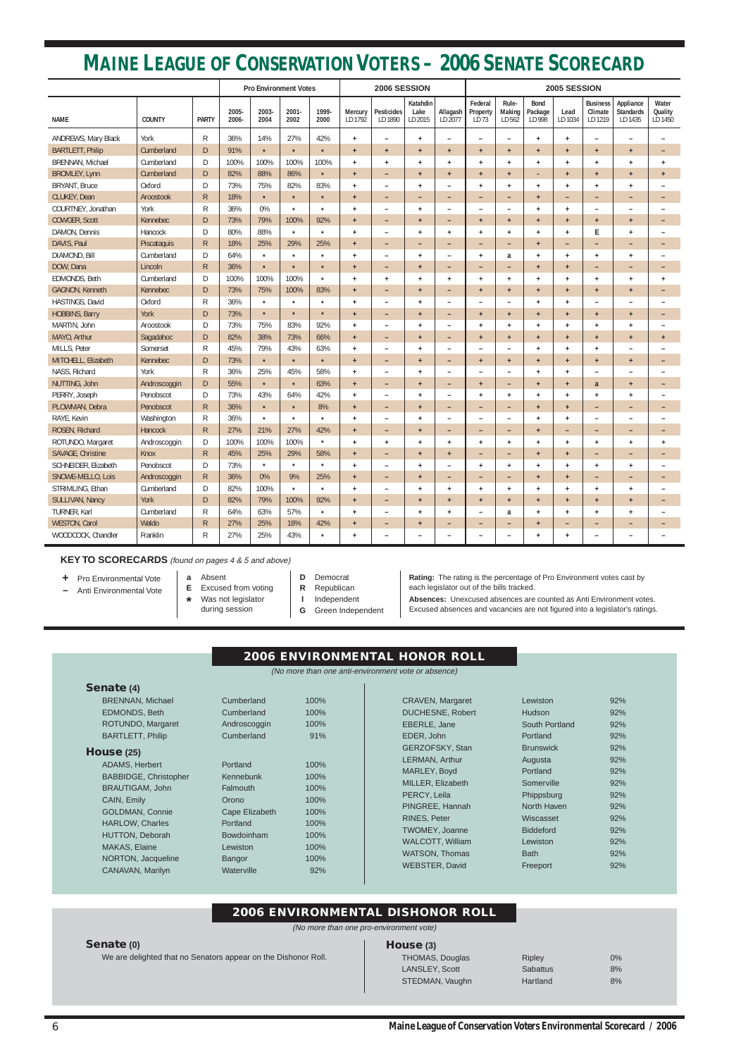## **MAINE LEAGUE OF CONSERVATION VOTERS – 2006 SENATE SCORECARD**

|                         |               |              |               | 2006 SESSION<br>2005 SESSION<br><b>Pro Environment Votes</b> |               |               |                                  |                              |                             |                          |                              |                           |                                  |                          |                                       |                                          |                             |
|-------------------------|---------------|--------------|---------------|--------------------------------------------------------------|---------------|---------------|----------------------------------|------------------------------|-----------------------------|--------------------------|------------------------------|---------------------------|----------------------------------|--------------------------|---------------------------------------|------------------------------------------|-----------------------------|
| <b>NAME</b>             | <b>COUNTY</b> | <b>PARTY</b> | 2005<br>2006- | 2003-<br>2004                                                | 2001-<br>2002 | 1999-<br>2000 | Mercury<br>LD 1792               | <b>Pesticides</b><br>LD 1890 | Katahdin<br>Lake<br>LD 2015 | Allagash<br>LD 2077      | Federal<br>Property<br>LD 73 | Rule-<br>Making<br>LD 562 | <b>Bond</b><br>Package<br>LD 998 | Lead<br>LD 1034          | <b>Business</b><br>Climate<br>LD 1219 | Appliance<br><b>Standards</b><br>LD 1435 | Water<br>Quality<br>LD 1450 |
| ANDREWS, Mary Black     | York          | R            | 36%           | 14%                                                          | 27%           | 42%           | $\begin{array}{c} + \end{array}$ | -                            | $+$                         | ۰                        | $\overline{a}$               | $\overline{\phantom{m}}$  | $+$                              | $\ddot{}$                | $\overline{\phantom{0}}$              |                                          |                             |
| <b>BARTLETT, Philip</b> | Cumberland    | D            | 91%           | $\star$                                                      | $\star$       | $\star$       | $\ddot{\phantom{1}}$             | $\ddot{}$                    | $+$                         | $+$                      | $+$                          | $\ddot{\phantom{1}}$      | $+$                              | $\ddot{}$                | $\ddot{}$                             | $\ddot{}$                                |                             |
| BRENNAN, Michael        | Cumberland    | D            | 100%          | 100%                                                         | 100%          | 100%          | $\ddot{}$                        | $\ddot{}$                    | $\ddot{}$                   | $\ddot{}$                | $\ddot{}$                    | $\ddot{}$                 | $\ddot{}$                        | $\ddot{}$                | $\ddot{}$                             | $\ddot{}$                                | $\overline{1}$              |
| <b>BROMLEY, Lynn</b>    | Cumberland    | $\mathsf{D}$ | 82%           | 88%                                                          | 86%           | $\star$       | $\ddot{\phantom{1}}$             | -                            | $\ddot{}$                   | $\ddot{}$                | $+$                          | $\ddot{}$                 |                                  | $+$                      | $\ddot{}$                             | $+$                                      | $\overline{1}$              |
| <b>BRYANT, Bruce</b>    | Oxford        | D            | 73%           | 75%                                                          | 82%           | 83%           | $\ddot{}$                        | -                            | $+$                         | $\overline{\phantom{0}}$ | $\ddot{}$                    | $\ddot{}$                 | $\ddot{}$                        | $+$                      | $\ddot{}$                             | $\ddot{}$                                |                             |
| CLUKEY, Dean            | Aroostook     | $\mathsf{R}$ | 18%           | $\star$                                                      | $\star$       | $\star$       | $+$                              | $-$                          | $\overline{\phantom{0}}$    | $\overline{\phantom{0}}$ | -                            | -                         | $+$                              | $\overline{\phantom{0}}$ |                                       |                                          |                             |
| COURTNEY, Jonathan      | York          | R            | 36%           | 0%                                                           | $\star$       | $\star$       | $\ddot{}$                        | $\overline{\phantom{0}}$     | $\ddot{}$                   | $\overline{\phantom{0}}$ | $\overline{\phantom{0}}$     | $\overline{\phantom{m}}$  | $\ddot{}$                        | $\ddot{}$                |                                       |                                          |                             |
| COWGER, Scott           | Kennebec      | $\mathsf{D}$ | 73%           | 79%                                                          | 100%          | 92%           | $\ddot{\phantom{1}}$             | -                            | $+$                         | -                        | $+$                          | $\ddot{}$                 | $+$                              | $+$                      | $+$                                   | $+$                                      |                             |
| DAMON, Dennis           | Hancock       | D            | 80%           | 88%                                                          | $\star$       | $\star$       | $\ddot{\phantom{1}}$             |                              | $\overline{+}$              | $\ddot{}$                | $\ddot{}$                    | $+$                       | $\ddot{}$                        | $+$                      | E                                     | $\ddot{}$                                |                             |
| DAVIS, Paul             | Piscataquis   | $\mathsf{R}$ | 18%           | 25%                                                          | 29%           | 25%           | $\ddot{\phantom{1}}$             | -                            |                             |                          | $\overline{\phantom{0}}$     | $\qquad \qquad -$         | $+$                              | $\overline{\phantom{0}}$ |                                       |                                          |                             |
| DIAMOND, Bill           | Cumberland    | D            | 64%           | $\star$                                                      | $\star$       | $\star$       | $\ddot{}$                        | $\overline{\phantom{0}}$     | $\ddot{}$                   | $\overline{\phantom{0}}$ | $\ddot{}$                    | a                         | $\ddot{}$                        | $\ddot{}$                | $\ddot{}$                             | $\ddot{}$                                |                             |
| DOW, Dana               | Lincoln       | $\mathsf{R}$ | 36%           | $\star$                                                      | $\star$       | $\star$       | $\ddot{}$                        | -                            | $+$                         | ۳                        | ٠                            | $\overline{\phantom{a}}$  | $+$                              | $+$                      |                                       |                                          |                             |
| EDMONDS, Beth           | Cumberland    | D            | 100%          | 100%                                                         | 100%          | $\star$       | $\ddot{\phantom{1}}$             | $\ddot{}$                    | $+$                         | $\ddot{}$                | $\ddot{}$                    | $\ddot{}$                 | $\ddot{}$                        | $\ddot{}$                | $\ddot{}$                             | $\ddot{}$                                | $\ddot{}$                   |
| GAGNON, Kenneth         | Kennebec      | $\mathsf{D}$ | 73%           | 75%                                                          | 100%          | 83%           | $\ddot{\phantom{1}}$             | $\overline{\phantom{0}}$     | $\ddot{}$                   | $\overline{\phantom{0}}$ | $\ddot{}$                    | $\ddot{}$                 | $+$                              | $+$                      | $+$                                   | $+$                                      | $\overline{\phantom{0}}$    |
| HASTINGS, David         | Oxford        | R            | 36%           | $\star$                                                      | $\star$       | $\star$       | $\ddot{}$                        | -                            | $\ddot{\phantom{1}}$        |                          | $\overline{\phantom{0}}$     | $\overline{\phantom{a}}$  | $\ddot{}$                        | $\ddot{}$                |                                       |                                          |                             |
| HOBBINS, Barry          | York          | $\mathsf{D}$ | 73%           | $\star$                                                      | $\star$       | $\star$       | $\ddot{}$                        | -                            | $+$                         | -                        | $+$                          | $+$                       | $+$                              | $+$                      | $+$                                   | $+$                                      |                             |
| MARTIN, John            | Aroostook     | D            | 73%           | 75%                                                          | 83%           | 92%           | $\begin{array}{c} + \end{array}$ | -                            | $\ddot{}$                   | $\overline{\phantom{0}}$ | $\ddot{}$                    | $\ddot{}$                 | $\ddot{}$                        | $\ddot{}$                | $\ddot{}$                             | $\ddot{}$                                |                             |
| MAYO, Arthur            | Sagadahoc     | $\mathsf{D}$ | 82%           | 38%                                                          | 73%           | 66%           | $\ddot{}$                        | $\overline{\phantom{0}}$     | $\ddot{}$                   | $\overline{\phantom{0}}$ | $+$                          | $\ddot{}$                 | $\ddot{}$                        | $\ddot{}$                | $+$                                   | $+$                                      | $+$                         |
| MILLS, Peter            | Somerset      | R            | 45%           | 79%                                                          | 43%           | 63%           | $\ddot{}$                        | $\overline{\phantom{a}}$     | $\ddot{}$                   | $\overline{\phantom{0}}$ | $\overline{\phantom{0}}$     | $\overline{\phantom{a}}$  | $\ddot{}$                        | $\ddot{}$                | $\ddot{}$                             |                                          |                             |
| MITCHELL, Elizabeth     | Kennebec      | $\mathsf{D}$ | 73%           | $\star$                                                      | $\star$       | $\star$       | $+$                              | -                            | $\ddot{}$                   | -                        | $+$                          | $+$                       | $\ddot{}$                        | $+$                      | $+$                                   | $+$                                      |                             |
| NASS, Richard           | York          | $\mathsf{R}$ | 36%           | 25%                                                          | 45%           | 58%           | $\begin{array}{c} + \end{array}$ |                              | $\ddot{\phantom{1}}$        | $\overline{\phantom{0}}$ | $\overline{\phantom{0}}$     | $\overline{\phantom{a}}$  | $\ddot{}$                        | $\ddot{}$                |                                       |                                          |                             |
| NUTTING, John           | Androscoggin  | D            | 55%           | $\star$                                                      | $\star$       | 63%           | $\ddot{}$                        | -                            | $\ddot{}$                   | $\overline{\phantom{0}}$ | $+$                          | -                         | $+$                              | $+$                      | a                                     | $+$                                      |                             |
| PERRY, Joseph           | Penobscot     | D            | 73%           | 43%                                                          | 64%           | 42%           | $\ddot{}$                        | $\overline{\phantom{0}}$     | $\ddot{}$                   |                          | $\ddot{}$                    | $\ddot{}$                 | $\ddot{}$                        | $\ddot{}$                | $\ddot{}$                             | $\ddot{}$                                |                             |
| PLOWMAN, Debra          | Penobscot     | $\mathsf{R}$ | 36%           | $\star$                                                      | $\star$       | 8%            | $\ddot{\phantom{1}}$             | -                            | $+$                         | -                        | $\overline{\phantom{0}}$     | -                         | $+$                              | $\ddot{}$                |                                       |                                          |                             |
| RAYE, Kevin             | Washington    | R            | 36%           | $\star$                                                      | $^{\star}$    | $\star$       | $\ddot{\phantom{1}}$             |                              | $\ddot{\phantom{1}}$        | $\overline{\phantom{0}}$ | $\overline{\phantom{0}}$     | $\overline{\phantom{a}}$  | $\ddot{}$                        | $\ddot{}$                |                                       |                                          |                             |
| ROSEN, Richard          | Hancock       | $\mathsf{R}$ | 27%           | 21%                                                          | 27%           | 42%           | $\ddot{\phantom{1}}$             | -                            | $\ddot{}$                   | $\overline{\phantom{0}}$ | $\overline{\phantom{0}}$     | $\overline{\phantom{0}}$  | $+$                              | $\overline{\phantom{0}}$ |                                       |                                          |                             |
| ROTUNDO, Margaret       | Androscoggin  | D            | 100%          | 100%                                                         | 100%          | $\star$       | $\ddot{}$                        | $\ddot{}$                    | $\ddot{}$                   | $\ddot{}$                | $\ddot{}$                    | $\ddot{}$                 | $\ddot{}$                        | $\ddot{}$                | $\ddot{}$                             | $\ddot{}$                                | $\ddot{\phantom{1}}$        |
| SAVAGE, Christine       | Knox          | $\mathsf{R}$ | 45%           | 25%                                                          | 29%           | 58%           | $\ddot{}$                        | -                            | $+$                         | $\ddot{}$                | -                            | -                         | $+$                              | $+$                      |                                       |                                          |                             |
| SCHNEIDER, Elizabeth    | Penobscot     | D            | 73%           | $\star$                                                      | $\star$       | $\star$       | $\ddot{}$                        | $\overline{\phantom{0}}$     | $\ddot{}$                   |                          | $\ddot{}$                    | $\ddot{}$                 | $\ddot{}$                        | $\ddot{}$                | $\ddot{}$                             | $\ddot{}$                                |                             |
| SNOWE-MELLO, Lois       | Androscoggin  | ${\sf R}$    | 36%           | $0\%$                                                        | 9%            | 25%           |                                  |                              |                             |                          |                              |                           |                                  |                          |                                       |                                          |                             |
| STRIMLING, Ethan        | Cumberland    | D            | 82%           | 100%                                                         | $\star$       | $\star$       | $\ddot{}$                        |                              | $+$                         | $\ddot{}$                | $+$                          | $\ddot{}$                 | $+$                              | $+$                      | $\ddot{}$                             | $+$                                      |                             |
| SULLIVAN, Nancy         | York          | $\mathsf D$  | 82%           | 79%                                                          | 100%          | 92%           | $+$                              | -                            | $+$                         | $+$                      | $+$                          | $+$                       | $+$                              | $+$                      | $+$                                   | $+$                                      |                             |
| TURNER, Karl            | Cumberland    | R            | 64%           | 63%                                                          | 57%           | $\star$       | $\ddot{}$                        | $\overline{\phantom{a}}$     | $+$                         | $+$                      | $\overline{\phantom{a}}$     | a                         | $+$                              | $+$                      | $+$                                   | $+$                                      |                             |
| <b>WESTON, Carol</b>    | Waldo         | ${\sf R}$    | 27%           | 25%                                                          | 18%           | 42%           | $\pm$                            | -                            | $+$                         | -                        | -                            | $\qquad \qquad -$         | $+$                              | -                        | -                                     | -                                        |                             |
| WOODCOCK, Chandler      | Franklin      | ${\sf R}$    | 27%           | 25%                                                          | 43%           | $\star$       | $^+$                             | -                            | $\overline{\phantom{0}}$    | $\overline{\phantom{0}}$ | $\overline{\phantom{a}}$     | $\overline{\phantom{m}}$  | $+$                              | $\ddot{}$                | $\qquad \qquad -$                     | $\overline{\phantom{a}}$                 |                             |

**KEY TO SCORECARDS** (found on pages 4 & 5 and above)

**Rating:** The rating is the percentage of Pro Environment votes cast by each legislator out of the bills tracked.

- **+** Pro Environmental Vote
- **–** Anti Environmental Vote
- **\*** Was not legislator during session

**Absences:** Unexcused absences are counted as Anti Environment votes. Excused absences and vacancies are not figured into a legislator's ratings.

**a** Absent

**E** Excused from voting

- **D** Democrat
- **R** Republican
- **I** Independent
	- **G** Green Independent

#### **Senate (0)**

We are delighted that no Senators appear on the Dishonor Roll.

(No more than one pro-environment vote)

### **2006 ENVIRONMENTAL DISHONOR ROLL**

#### **House (3)**

| THOMAS, Douglas | Ripley          | $0\%$ |
|-----------------|-----------------|-------|
| LANSLEY, Scott  | <b>Sabattus</b> | 8%    |
| STEDMAN, Vaughn | Hartland        | 8%    |

(No more than one anti-environment vote or absence)

| <b>CRAVE</b><br>100%  |
|-----------------------|
| <b>DUCHE</b><br>100%  |
| <b>EBERL</b><br>100%  |
| EDER.<br>91%          |
| <b>GERZC</b>          |
| <b>LERMA</b><br>100%  |
| <b>MARLE</b>          |
| 100%<br><b>MILLEF</b> |
| 100%<br>DED ON        |
|                       |

CRAVEN, Margaret **Lewiston** 22% ESNE, Robert Hudson 92% E, Jane South Portland 92% EDER, John Portland 92% OFSKY, Stan Brunswick 92% Rugusta and Augusta 192% EY, Boyd **Portland** 92% R, Elizabeth Somerville 92% PERCY, Leila Phippsburg 92%

| CAIN, Emily               | Orono          | 100% |
|---------------------------|----------------|------|
| <b>GOLDMAN, Connie</b>    | Cape Elizabeth | 100% |
| <b>HARLOW, Charles</b>    | Portland       | 100% |
| <b>HUTTON, Deborah</b>    | Bowdoinham     | 100% |
| MAKAS, Elaine             | Lewiston       | 100% |
| <b>NORTON, Jacqueline</b> | <b>Bangor</b>  | 100% |
| CANAVAN, Marilyn          | Waterville     | 92%  |

| V                      | <b>000000000000000</b> | 1 V V 7 V |
|------------------------|------------------------|-----------|
| <b>GOLDMAN, Connie</b> | Cape Elizabeth         | 100%      |
| <b>HARLOW, Charles</b> | Portland               | 100%      |
| <b>HUTTON, Deborah</b> | Bowdoinham             | 100%      |
| MAKAS, Elaine          | Lewiston               | 100%      |
| NORTON, Jacqueline     | <b>Bangor</b>          | 100%      |
| CANAVAN, Marilyn       | Waterville             | 92%       |

| PINGREE, Hannah         | North Haven      | 92% |
|-------------------------|------------------|-----|
| RINES, Peter            | Wiscasset        | 92% |
| TWOMEY, Joanne          | <b>Biddeford</b> | 92% |
| <b>WALCOTT, William</b> | Lewiston         | 92% |
| <b>WATSON, Thomas</b>   | <b>Bath</b>      | 92% |
| <b>WEBSTER, David</b>   | Freeport         | 92% |

### **2006 ENVIRONMENTAL HONOR ROLL**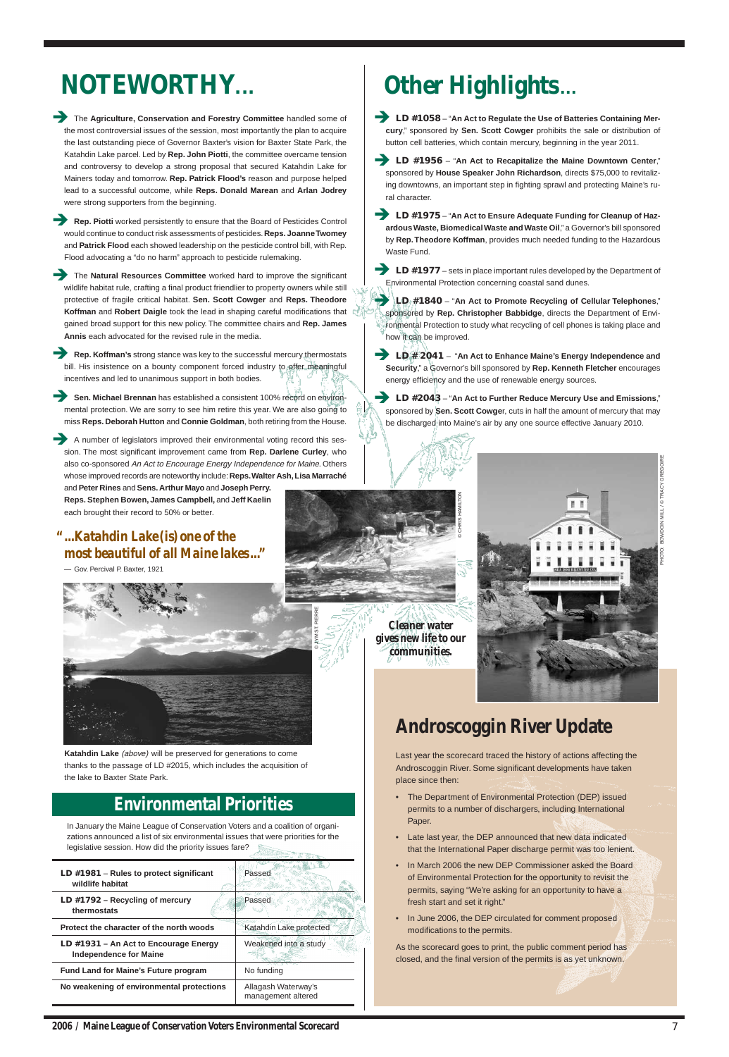| LD $#1981 -$ Rules to protect significant<br>wildlife habitat      | Passed                                    |
|--------------------------------------------------------------------|-------------------------------------------|
| LD $#1792 - Recvcling of mercury$<br>thermostats                   | Passed                                    |
| Protect the character of the north woods                           | Katahdin Lake protected                   |
| LD $\#1931$ – An Act to Encourage Energy<br>Independence for Maine | Weakened into a study                     |
| <b>Fund Land for Maine's Future program</b>                        | No funding                                |
| No weakening of environmental protections                          | Allagash Waterway's<br>management altered |

## **Environmental Priorities**

In January the Maine League of Conservation Voters and a coalition of organizations announced a list of six environmental issues that were priorities for the legislative session. How did the priority issues fare?

# **NOTEWORTHY**...

7

- The Agriculture, Conservation and Forestry Committee handled some of the most controversial issues of the session, most importantly the plan to acquire the last outstanding piece of Governor Baxter's vision for Baxter State Park, the Katahdin Lake parcel. Led by **Rep. John Piotti**, the committee overcame tension and controversy to develop a strong proposal that secured Katahdin Lake for Mainers today and tomorrow. **Rep. Patrick Flood's** reason and purpose helped lead to a successful outcome, while **Reps. Donald Marean** and **Arlan Jodrey** were strong supporters from the beginning.
- **Rep. Piotti** worked persistently to ensure that the Board of Pesticides Control would continue to conduct risk assessments of pesticides. **Reps. Joanne Twomey** and **Patrick Flood** each showed leadership on the pesticide control bill, with Rep. Flood advocating a "do no harm" approach to pesticide rulemaking.
- The Natural Resources Committee worked hard to improve the significant wildlife habitat rule, crafting a final product friendlier to property owners while still protective of fragile critical habitat. **Sen. Scott Cowger** and **Reps. Theodore Koffman** and **Robert Daigle** took the lead in shaping careful modifications that gained broad support for this new policy. The committee chairs and **Rep. James Annis** each advocated for the revised rule in the media.
- **Rep. Koffman's** strong stance was key to the successful mercury thermostats bill. His insistence on a bounty component forced industry to offer meaningful incentives and led to unanimous support in both bodies.
- **Sen. Michael Brennan** has established a consistent 100% record on environmental protection. We are sorry to see him retire this year. We are also going to miss **Reps. Deborah Hutton** and **Connie Goldman**, both retiring from the House.
- A number of legislators improved their environmental voting record this session. The most significant improvement came from **Rep. Darlene Curley**, who also co-sponsored An Act to Encourage Energy Independence for Maine. Others whose improved records are noteworthy include: **Reps. Walter Ash, Lisa Marraché**
	- and **Peter Rines** and **Sens. Arthur Mayo** and **Joseph Perry. Reps. Stephen Bowen, James Campbell,** and **Jeff Kaelin** each brought their record to 50% or better.

**LD #1058** – "An Act to Regulate the Use of Batteries Containing Mer**cury**," sponsored by **Sen. Scott Cowger** prohibits the sale or distribution of button cell batteries, which contain mercury, beginning in the year 2011.

Last year the scorecard traced the history of actions affecting the Androscoggin River. Some significant developments have taken place since then:

• The Department of Environmental Protection (DEP) issued

- permits to a number of dischargers, including International Paper.
- Late last year, the DEP announced that new data indicated that the International Paper discharge permit was too lenient.
- In March 2006 the new DEP Commissioner asked the Board of Environmental Protection for the opportunity to revisit the permits, saying "We're asking for an opportunity to have a fresh start and set it right."
- In June 2006, the DEP circulated for comment proposed modifications to the permits.

As the scorecard goes to print, the public comment period has closed, and the final version of the permits is as yet unknown.

# **Other Highlights**...

- Î **LD #1956** "**An Act to Recapitalize the Maine Downtown Center**," sponsored by **House Speaker John Richardson**, directs \$75,000 to revitalizing downtowns, an important step in fighting sprawl and protecting Maine's rural character.
- **LD #1975** "An Act to Ensure Adequate Funding for Cleanup of Haz**ardous Waste, Biomedical Waste and Waste Oil**," a Governor's bill sponsored by **Rep. Theodore Koffman**, provides much needed funding to the Hazardous Waste Fund.
- **LD #1977** sets in place important rules developed by the Department of Environmental Protection concerning coastal sand dunes.
	- Î **LD #1840** "**An Act to Promote Recycling of Cellular Telephones**," sponsored by **Rep. Christopher Babbidge**, directs the Department of Environmental Protection to study what recycling of cell phones is taking place and how it can be improved.
- Î **LD # 2041**  "**An Act to Enhance Maine's Energy Independence and Security**," a Governor's bill sponsored by **Rep. Kenneth Fletcher** encourages energy efficiency and the use of renewable energy sources.
- Î **LD #2043** "**An Act to Further Reduce Mercury Use and Emissions**," sponsored by **Sen. Scott Cowge**r, cuts in half the amount of mercury that may be discharged into Maine's air by any one source effective January 2010.

## **Androscoggin River Update**

© JYM ST. PIERRE



## *Cleaner water gives new life to our communities.*

## *" ...Katahdin Lake (is) one of the most beautiful of all Maine lakes ..."*

— Gov. Percival P. Baxter, 1921



**Katahdin Lake** (above) will be preserved for generations to come thanks to the passage of LD #2015, which includes the acquisition of the lake to Baxter State Park.